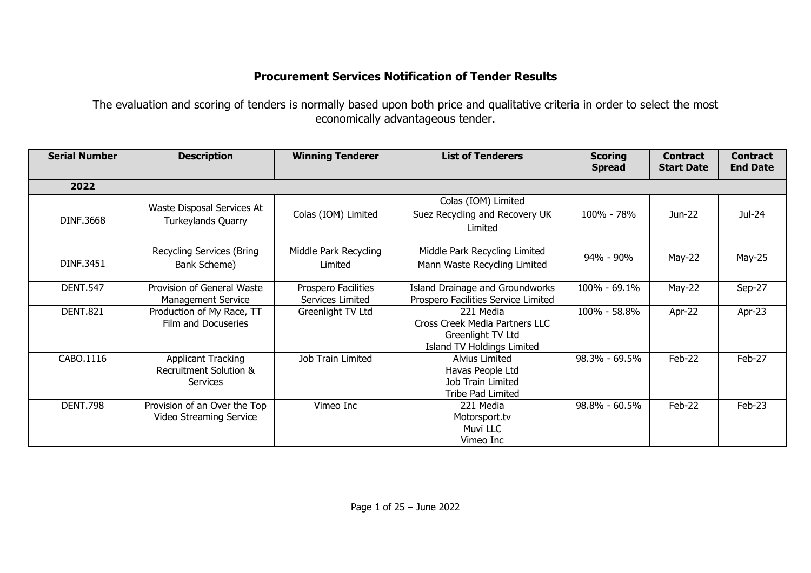## **Procurement Services Notification of Tender Results**

The evaluation and scoring of tenders is normally based upon both price and qualitative criteria in order to select the most economically advantageous tender.

| <b>Serial Number</b> | <b>Description</b>                                              | <b>Winning Tenderer</b>                 | <b>List of Tenderers</b>                                                                       | <b>Scoring</b><br><b>Spread</b> | <b>Contract</b><br><b>Start Date</b> | <b>Contract</b><br><b>End Date</b> |
|----------------------|-----------------------------------------------------------------|-----------------------------------------|------------------------------------------------------------------------------------------------|---------------------------------|--------------------------------------|------------------------------------|
| 2022                 |                                                                 |                                         |                                                                                                |                                 |                                      |                                    |
| DINF.3668            | Waste Disposal Services At<br>Turkeylands Quarry                | Colas (IOM) Limited                     | Colas (IOM) Limited<br>Suez Recycling and Recovery UK<br>Limited                               | 100% - 78%                      | Jun-22                               | Jul-24                             |
| DINF.3451            | <b>Recycling Services (Bring</b><br>Bank Scheme)                | Middle Park Recycling<br>Limited        | Middle Park Recycling Limited<br>Mann Waste Recycling Limited                                  | 94% - 90%                       | May-22                               | May-25                             |
| <b>DENT.547</b>      | Provision of General Waste<br>Management Service                | Prospero Facilities<br>Services Limited | Island Drainage and Groundworks<br>Prospero Facilities Service Limited                         | 100% - 69.1%                    | $May-22$                             | Sep-27                             |
| <b>DENT.821</b>      | Production of My Race, TT<br>Film and Docuseries                | Greenlight TV Ltd                       | 221 Media<br>Cross Creek Media Partners LLC<br>Greenlight TV Ltd<br>Island TV Holdings Limited | 100% - 58.8%                    | Apr-22                               | Apr-23                             |
| CABO.1116            | <b>Applicant Tracking</b><br>Recruitment Solution &<br>Services | Job Train Limited                       | <b>Alvius Limited</b><br>Havas People Ltd<br>Job Train Limited<br>Tribe Pad Limited            | 98.3% - 69.5%                   | Feb-22                               | Feb-27                             |
| <b>DENT.798</b>      | Provision of an Over the Top<br>Video Streaming Service         | Vimeo Inc                               | 221 Media<br>Motorsport.tv<br>Muvi LLC<br>Vimeo Inc                                            | 98.8% - 60.5%                   | Feb-22                               | Feb-23                             |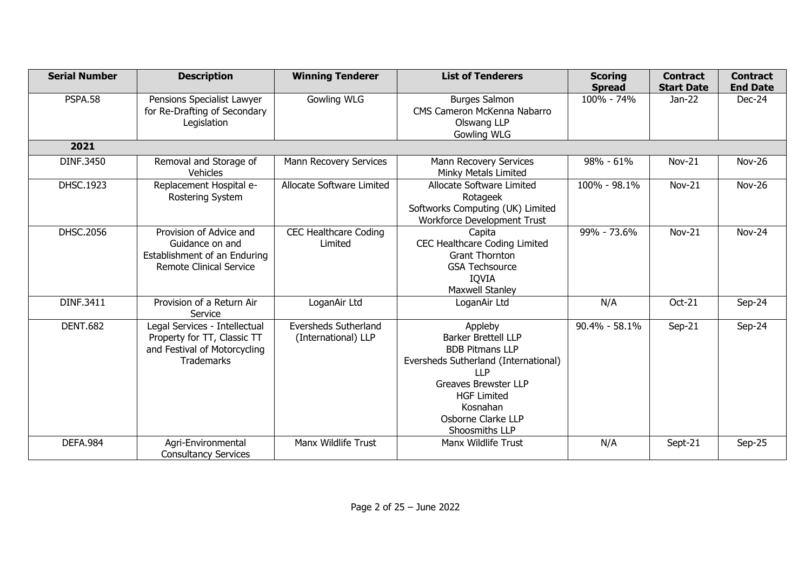| <b>Serial Number</b> | <b>Description</b>                                                                                                | <b>Winning Tenderer</b>                            | <b>List of Tenderers</b>                                                                                                                                                                                                       | <b>Scoring</b><br><b>Spread</b> | <b>Contract</b><br><b>Start Date</b> | <b>Contract</b><br><b>End Date</b> |
|----------------------|-------------------------------------------------------------------------------------------------------------------|----------------------------------------------------|--------------------------------------------------------------------------------------------------------------------------------------------------------------------------------------------------------------------------------|---------------------------------|--------------------------------------|------------------------------------|
| <b>PSPA.58</b>       | Pensions Specialist Lawyer<br>for Re-Drafting of Secondary<br>Legislation                                         | <b>Gowling WLG</b>                                 | <b>Burges Salmon</b><br>CMS Cameron McKenna Nabarro<br>Olswang LLP<br><b>Gowling WLG</b>                                                                                                                                       | 100% - 74%                      | $Jan-22$                             | Dec-24                             |
| 2021                 |                                                                                                                   |                                                    |                                                                                                                                                                                                                                |                                 |                                      |                                    |
| DINF.3450            | Removal and Storage of<br><b>Vehicles</b>                                                                         | Mann Recovery Services                             | Mann Recovery Services<br>Minky Metals Limited                                                                                                                                                                                 | 98% - 61%                       | Nov-21                               | <b>Nov-26</b>                      |
| DHSC.1923            | Replacement Hospital e-<br>Rostering System                                                                       | Allocate Software Limited                          | Allocate Software Limited<br>Rotageek<br>Softworks Computing (UK) Limited<br>Workforce Development Trust                                                                                                                       | 100% - 98.1%                    | $Nov-21$                             | <b>Nov-26</b>                      |
| DHSC.2056            | Provision of Advice and<br>Guidance on and<br>Establishment of an Enduring<br><b>Remote Clinical Service</b>      | <b>CEC Healthcare Coding</b><br>Limited            | Capita<br>CEC Healthcare Coding Limited<br><b>Grant Thornton</b><br><b>GSA Techsource</b><br><b>IQVIA</b><br><b>Maxwell Stanley</b>                                                                                            | 99% - 73.6%                     | $Nov-21$                             | <b>Nov-24</b>                      |
| DINF.3411            | Provision of a Return Air<br>Service                                                                              | LoganAir Ltd                                       | LoganAir Ltd                                                                                                                                                                                                                   | N/A                             | Oct-21                               | Sep-24                             |
| <b>DENT.682</b>      | Legal Services - Intellectual<br>Property for TT, Classic TT<br>and Festival of Motorcycling<br><b>Trademarks</b> | <b>Eversheds Sutherland</b><br>(International) LLP | Appleby<br><b>Barker Brettell LLP</b><br><b>BDB Pitmans LLP</b><br>Eversheds Sutherland (International)<br><b>LLP</b><br><b>Greaves Brewster LLP</b><br><b>HGF Limited</b><br>Kosnahan<br>Osborne Clarke LLP<br>Shoosmiths LLP | $90.4\% - 58.1\%$               | $Sep-21$                             | Sep-24                             |
| <b>DEFA.984</b>      | Agri-Environmental<br><b>Consultancy Services</b>                                                                 | Manx Wildlife Trust                                | Manx Wildlife Trust                                                                                                                                                                                                            | N/A                             | Sept-21                              | Sep-25                             |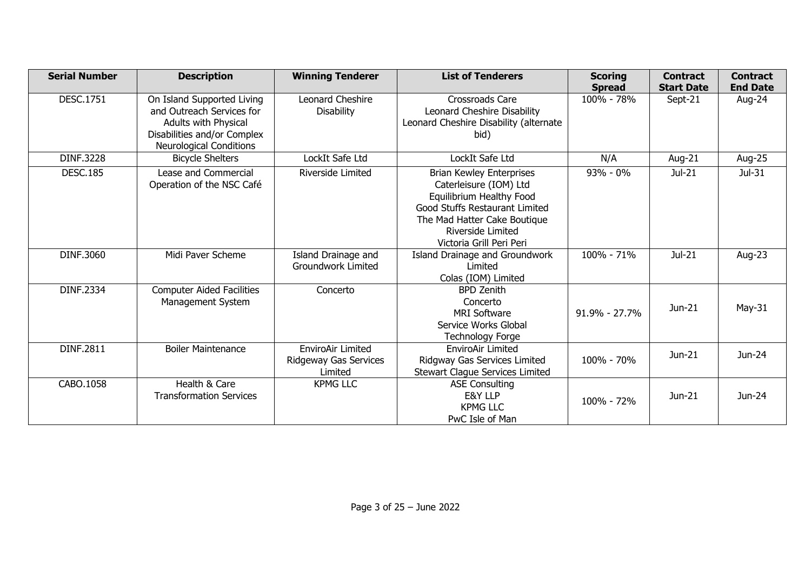| <b>Serial Number</b> | <b>Description</b>                                                                                                                               | <b>Winning Tenderer</b>                                      | <b>List of Tenderers</b>                                                                                                                                                                                 | <b>Scoring</b><br><b>Spread</b> | <b>Contract</b><br><b>Start Date</b> | <b>Contract</b><br><b>End Date</b> |
|----------------------|--------------------------------------------------------------------------------------------------------------------------------------------------|--------------------------------------------------------------|----------------------------------------------------------------------------------------------------------------------------------------------------------------------------------------------------------|---------------------------------|--------------------------------------|------------------------------------|
| <b>DESC.1751</b>     | On Island Supported Living<br>and Outreach Services for<br>Adults with Physical<br>Disabilities and/or Complex<br><b>Neurological Conditions</b> | Leonard Cheshire<br><b>Disability</b>                        | Crossroads Care<br>Leonard Cheshire Disability<br>Leonard Cheshire Disability (alternate<br>bid)                                                                                                         | 100% - 78%                      | Sept-21                              | Aug-24                             |
| <b>DINF.3228</b>     | <b>Bicycle Shelters</b>                                                                                                                          | LockIt Safe Ltd                                              | LockIt Safe Ltd                                                                                                                                                                                          | N/A                             | Aug-21                               | Aug-25                             |
| <b>DESC.185</b>      | Lease and Commercial<br>Operation of the NSC Café                                                                                                | <b>Riverside Limited</b>                                     | <b>Brian Kewley Enterprises</b><br>Caterleisure (IOM) Ltd<br>Equilibrium Healthy Food<br>Good Stuffs Restaurant Limited<br>The Mad Hatter Cake Boutique<br>Riverside Limited<br>Victoria Grill Peri Peri | $93% - 0%$                      | $Jul-21$                             | $Jul-31$                           |
| DINF.3060            | Midi Paver Scheme                                                                                                                                | Island Drainage and<br>Groundwork Limited                    | Island Drainage and Groundwork<br>Limited<br>Colas (IOM) Limited                                                                                                                                         | 100% - 71%                      | Jul-21                               | Aug-23                             |
| DINF.2334            | <b>Computer Aided Facilities</b><br>Management System                                                                                            | Concerto                                                     | <b>BPD Zenith</b><br>Concerto<br><b>MRI Software</b><br>Service Works Global<br><b>Technology Forge</b>                                                                                                  | $91.9\% - 27.7\%$               | Jun-21                               | $May-31$                           |
| DINF.2811            | <b>Boiler Maintenance</b>                                                                                                                        | <b>EnviroAir Limited</b><br>Ridgeway Gas Services<br>Limited | EnviroAir Limited<br>Ridgway Gas Services Limited<br>Stewart Clague Services Limited                                                                                                                     | 100% - 70%                      | Jun-21                               | Jun-24                             |
| CABO.1058            | Health & Care<br><b>Transformation Services</b>                                                                                                  | <b>KPMG LLC</b>                                              | <b>ASE Consulting</b><br>E&Y LLP<br><b>KPMG LLC</b><br>PwC Isle of Man                                                                                                                                   | 100% - 72%                      | Jun-21                               | Jun-24                             |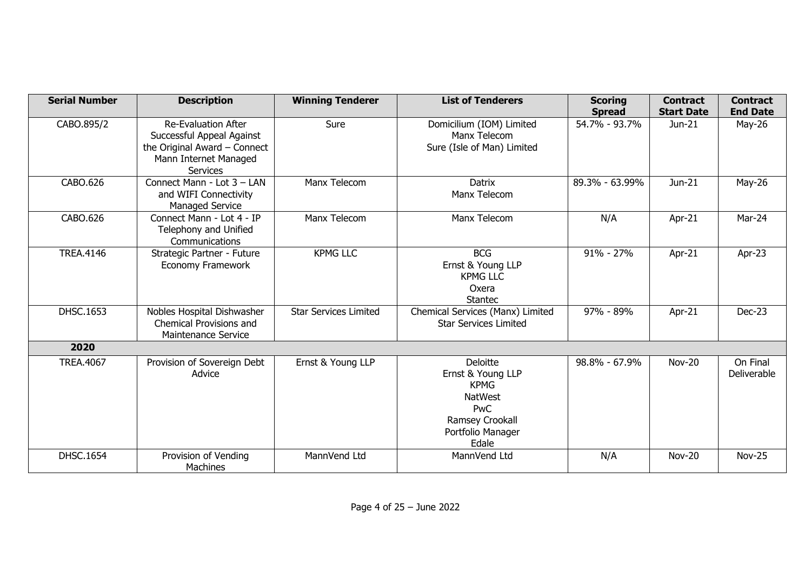| <b>Serial Number</b> | <b>Description</b>                                                                                                                  | <b>Winning Tenderer</b>      | <b>List of Tenderers</b>                                                                                               | <b>Scoring</b><br><b>Spread</b> | <b>Contract</b><br><b>Start Date</b> | <b>Contract</b><br><b>End Date</b> |
|----------------------|-------------------------------------------------------------------------------------------------------------------------------------|------------------------------|------------------------------------------------------------------------------------------------------------------------|---------------------------------|--------------------------------------|------------------------------------|
| CABO.895/2           | <b>Re-Evaluation After</b><br>Successful Appeal Against<br>the Original Award - Connect<br>Mann Internet Managed<br><b>Services</b> | Sure                         | Domicilium (IOM) Limited<br>Manx Telecom<br>Sure (Isle of Man) Limited                                                 | 54.7% - 93.7%                   | Jun-21                               | May-26                             |
| CABO.626             | Connect Mann - Lot 3 - LAN<br>and WIFI Connectivity<br>Managed Service                                                              | Manx Telecom                 | <b>Datrix</b><br>Manx Telecom                                                                                          | 89.3% - 63.99%                  | Jun-21                               | May-26                             |
| CABO.626             | Connect Mann - Lot 4 - IP<br>Telephony and Unified<br>Communications                                                                | Manx Telecom                 | Manx Telecom                                                                                                           | N/A                             | Apr-21                               | Mar-24                             |
| <b>TREA.4146</b>     | Strategic Partner - Future<br>Economy Framework                                                                                     | <b>KPMG LLC</b>              | <b>BCG</b><br>Ernst & Young LLP<br><b>KPMG LLC</b><br>Oxera<br><b>Stantec</b>                                          | $91\% - 27\%$                   | Apr-21                               | Apr-23                             |
| DHSC.1653            | Nobles Hospital Dishwasher<br>Chemical Provisions and<br>Maintenance Service                                                        | <b>Star Services Limited</b> | Chemical Services (Manx) Limited<br><b>Star Services Limited</b>                                                       | 97% - 89%                       | Apr-21                               | Dec-23                             |
| 2020                 |                                                                                                                                     |                              |                                                                                                                        |                                 |                                      |                                    |
| <b>TREA.4067</b>     | Provision of Sovereign Debt<br>Advice                                                                                               | Ernst & Young LLP            | Deloitte<br>Ernst & Young LLP<br><b>KPMG</b><br><b>NatWest</b><br>PwC<br>Ramsey Crookall<br>Portfolio Manager<br>Edale | 98.8% - 67.9%                   | <b>Nov-20</b>                        | On Final<br>Deliverable            |
| <b>DHSC.1654</b>     | Provision of Vending<br><b>Machines</b>                                                                                             | MannVend Ltd                 | MannVend Ltd                                                                                                           | N/A                             | Nov-20                               | <b>Nov-25</b>                      |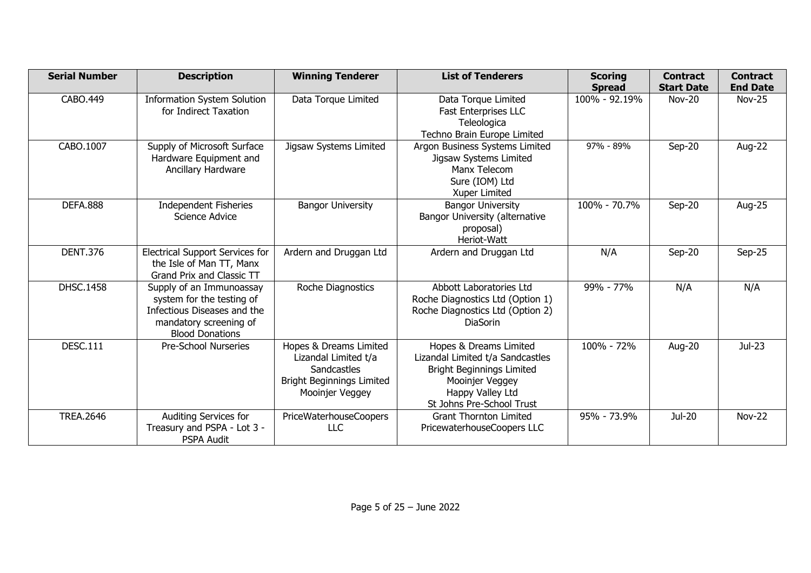| <b>Serial Number</b> | <b>Description</b>                                                                                                                       | <b>Winning Tenderer</b>                                                                                              | <b>List of Tenderers</b>                                                                                                                                           | <b>Scoring</b>                 | <b>Contract</b><br><b>Start Date</b> | <b>Contract</b><br><b>End Date</b> |
|----------------------|------------------------------------------------------------------------------------------------------------------------------------------|----------------------------------------------------------------------------------------------------------------------|--------------------------------------------------------------------------------------------------------------------------------------------------------------------|--------------------------------|--------------------------------------|------------------------------------|
| CABO.449             | <b>Information System Solution</b><br>for Indirect Taxation                                                                              | Data Torque Limited                                                                                                  | Data Torque Limited<br><b>Fast Enterprises LLC</b><br>Teleologica<br>Techno Brain Europe Limited                                                                   | <b>Spread</b><br>100% - 92.19% | <b>Nov-20</b>                        | Nov-25                             |
| CABO.1007            | Supply of Microsoft Surface<br>Hardware Equipment and<br>Ancillary Hardware                                                              | Jigsaw Systems Limited                                                                                               | Argon Business Systems Limited<br>Jigsaw Systems Limited<br>Manx Telecom<br>Sure (IOM) Ltd<br>Xuper Limited                                                        | 97% - 89%                      | $Sep-20$                             | Aug-22                             |
| <b>DEFA.888</b>      | <b>Independent Fisheries</b><br>Science Advice                                                                                           | <b>Bangor University</b>                                                                                             | <b>Bangor University</b><br>Bangor University (alternative<br>proposal)<br>Heriot-Watt                                                                             | 100% - 70.7%                   | $Sep-20$                             | Aug-25                             |
| <b>DENT.376</b>      | <b>Electrical Support Services for</b><br>the Isle of Man TT, Manx<br>Grand Prix and Classic TT                                          | Ardern and Druggan Ltd                                                                                               | Ardern and Druggan Ltd                                                                                                                                             | N/A                            | Sep-20                               | Sep-25                             |
| <b>DHSC.1458</b>     | Supply of an Immunoassay<br>system for the testing of<br>Infectious Diseases and the<br>mandatory screening of<br><b>Blood Donations</b> | Roche Diagnostics                                                                                                    | Abbott Laboratories Ltd<br>Roche Diagnostics Ltd (Option 1)<br>Roche Diagnostics Ltd (Option 2)<br><b>DiaSorin</b>                                                 | 99% - 77%                      | N/A                                  | N/A                                |
| <b>DESC.111</b>      | Pre-School Nurseries                                                                                                                     | Hopes & Dreams Limited<br>Lizandal Limited t/a<br>Sandcastles<br><b>Bright Beginnings Limited</b><br>Mooinjer Veggey | Hopes & Dreams Limited<br>Lizandal Limited t/a Sandcastles<br><b>Bright Beginnings Limited</b><br>Mooinjer Veggey<br>Happy Valley Ltd<br>St Johns Pre-School Trust | 100% - 72%                     | Aug-20                               | Jul-23                             |
| <b>TREA.2646</b>     | Auditing Services for<br>Treasury and PSPA - Lot 3 -<br><b>PSPA Audit</b>                                                                | PriceWaterhouseCoopers<br><b>LLC</b>                                                                                 | <b>Grant Thornton Limited</b><br>PricewaterhouseCoopers LLC                                                                                                        | 95% - 73.9%                    | <b>Jul-20</b>                        | <b>Nov-22</b>                      |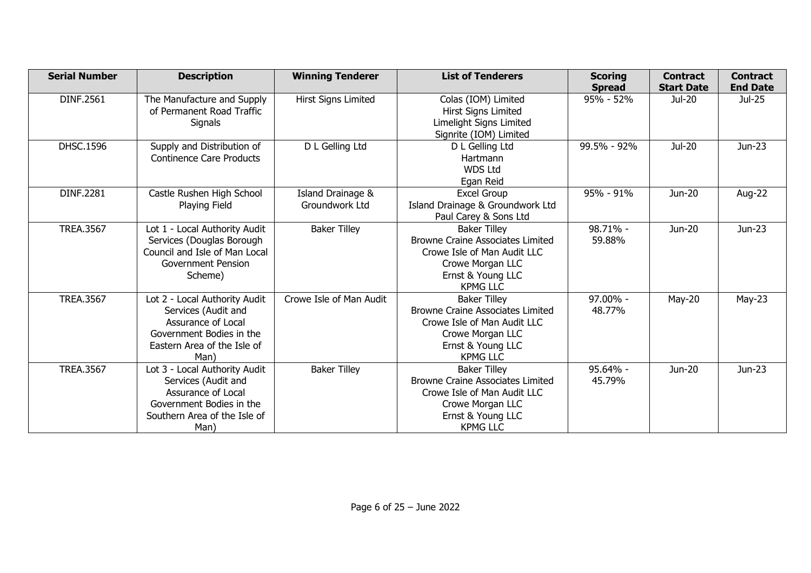| <b>Serial Number</b> | <b>Description</b>                                                                                                                             | <b>Winning Tenderer</b>             | <b>List of Tenderers</b>                                                                                                                                  | <b>Scoring</b><br><b>Spread</b> | <b>Contract</b><br><b>Start Date</b> | <b>Contract</b><br><b>End Date</b> |
|----------------------|------------------------------------------------------------------------------------------------------------------------------------------------|-------------------------------------|-----------------------------------------------------------------------------------------------------------------------------------------------------------|---------------------------------|--------------------------------------|------------------------------------|
| DINF.2561            | The Manufacture and Supply<br>of Permanent Road Traffic<br>Signals                                                                             | Hirst Signs Limited                 | Colas (IOM) Limited<br>Hirst Signs Limited<br>Limelight Signs Limited<br>Signrite (IOM) Limited                                                           | $95% - 52%$                     | Jul-20                               | Jul-25                             |
| DHSC.1596            | Supply and Distribution of<br><b>Continence Care Products</b>                                                                                  | D L Gelling Ltd                     | D L Gelling Ltd<br>Hartmann<br><b>WDS Ltd</b><br>Egan Reid                                                                                                | 99.5% - 92%                     | Jul-20                               | Jun-23                             |
| DINF.2281            | Castle Rushen High School<br>Playing Field                                                                                                     | Island Drainage &<br>Groundwork Ltd | Excel Group<br>Island Drainage & Groundwork Ltd<br>Paul Carey & Sons Ltd                                                                                  | 95% - 91%                       | Jun-20                               | Aug-22                             |
| <b>TREA.3567</b>     | Lot 1 - Local Authority Audit<br>Services (Douglas Borough<br>Council and Isle of Man Local<br><b>Government Pension</b><br>Scheme)            | <b>Baker Tilley</b>                 | <b>Baker Tilley</b><br><b>Browne Craine Associates Limited</b><br>Crowe Isle of Man Audit LLC<br>Crowe Morgan LLC<br>Ernst & Young LLC<br><b>KPMG LLC</b> | 98.71% -<br>59.88%              | Jun-20                               | Jun-23                             |
| <b>TREA.3567</b>     | Lot 2 - Local Authority Audit<br>Services (Audit and<br>Assurance of Local<br>Government Bodies in the<br>Eastern Area of the Isle of<br>Man)  | Crowe Isle of Man Audit             | <b>Baker Tilley</b><br><b>Browne Craine Associates Limited</b><br>Crowe Isle of Man Audit LLC<br>Crowe Morgan LLC<br>Ernst & Young LLC<br><b>KPMG LLC</b> | 97.00% -<br>48.77%              | $May-20$                             | $May-23$                           |
| <b>TREA.3567</b>     | Lot 3 - Local Authority Audit<br>Services (Audit and<br>Assurance of Local<br>Government Bodies in the<br>Southern Area of the Isle of<br>Man) | <b>Baker Tilley</b>                 | <b>Baker Tilley</b><br><b>Browne Craine Associates Limited</b><br>Crowe Isle of Man Audit LLC<br>Crowe Morgan LLC<br>Ernst & Young LLC<br><b>KPMG LLC</b> | 95.64% -<br>45.79%              | Jun-20                               | Jun-23                             |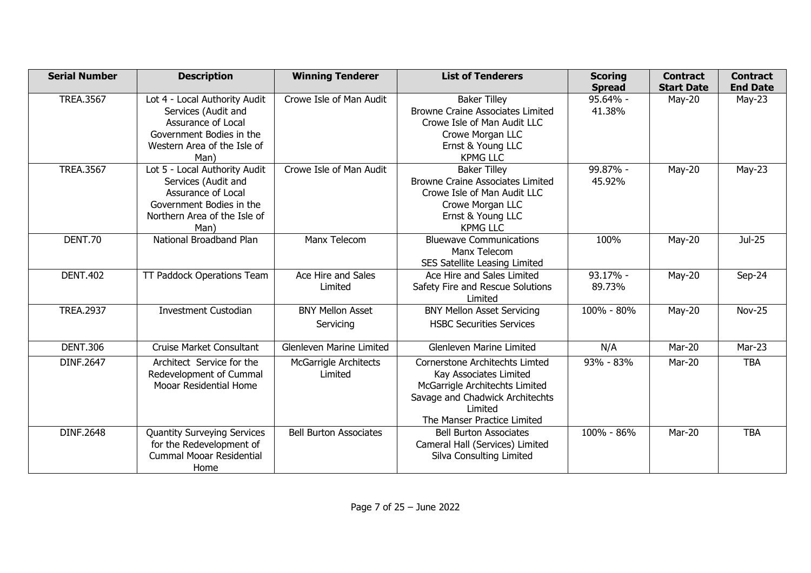| <b>Serial Number</b> | <b>Description</b>                                                                                                                             | <b>Winning Tenderer</b>                 | <b>List of Tenderers</b>                                                                                                                                                | <b>Scoring</b><br><b>Spread</b> | <b>Contract</b><br><b>Start Date</b> | <b>Contract</b><br><b>End Date</b> |
|----------------------|------------------------------------------------------------------------------------------------------------------------------------------------|-----------------------------------------|-------------------------------------------------------------------------------------------------------------------------------------------------------------------------|---------------------------------|--------------------------------------|------------------------------------|
| <b>TREA.3567</b>     | Lot 4 - Local Authority Audit<br>Services (Audit and<br>Assurance of Local<br>Government Bodies in the<br>Western Area of the Isle of<br>Man)  | Crowe Isle of Man Audit                 | <b>Baker Tilley</b><br><b>Browne Craine Associates Limited</b><br>Crowe Isle of Man Audit LLC<br>Crowe Morgan LLC<br>Ernst & Young LLC<br><b>KPMG LLC</b>               | 95.64% -<br>41.38%              | $May-20$                             | $May-23$                           |
| <b>TREA.3567</b>     | Lot 5 - Local Authority Audit<br>Services (Audit and<br>Assurance of Local<br>Government Bodies in the<br>Northern Area of the Isle of<br>Man) | Crowe Isle of Man Audit                 | <b>Baker Tilley</b><br><b>Browne Craine Associates Limited</b><br>Crowe Isle of Man Audit LLC<br>Crowe Morgan LLC<br>Ernst & Young LLC<br><b>KPMG LLC</b>               | 99.87% -<br>45.92%              | $May-20$                             | $May-23$                           |
| DENT.70              | National Broadband Plan                                                                                                                        | Manx Telecom                            | <b>Bluewave Communications</b><br>Manx Telecom<br>SES Satellite Leasing Limited                                                                                         | 100%                            | May-20                               | Jul-25                             |
| <b>DENT.402</b>      | TT Paddock Operations Team                                                                                                                     | Ace Hire and Sales<br>Limited           | Ace Hire and Sales Limited<br>Safety Fire and Rescue Solutions<br>Limited                                                                                               | 93.17% -<br>89.73%              | $May-20$                             | Sep-24                             |
| <b>TREA.2937</b>     | <b>Investment Custodian</b>                                                                                                                    | <b>BNY Mellon Asset</b><br>Servicing    | <b>BNY Mellon Asset Servicing</b><br><b>HSBC Securities Services</b>                                                                                                    | 100% - 80%                      | $May-20$                             | <b>Nov-25</b>                      |
| <b>DENT.306</b>      | <b>Cruise Market Consultant</b>                                                                                                                | <b>Glenleven Marine Limited</b>         | <b>Glenleven Marine Limited</b>                                                                                                                                         | N/A                             | Mar-20                               | Mar-23                             |
| DINF.2647            | Architect Service for the<br>Redevelopment of Cummal<br><b>Mooar Residential Home</b>                                                          | <b>McGarrigle Architects</b><br>Limited | Cornerstone Architechts Limted<br>Kay Associates Limited<br>McGarrigle Architechts Limited<br>Savage and Chadwick Architechts<br>Limited<br>The Manser Practice Limited | 93% - 83%                       | Mar-20                               | <b>TBA</b>                         |
| DINF.2648            | <b>Quantity Surveying Services</b><br>for the Redevelopment of<br><b>Cummal Mooar Residential</b><br>Home                                      | <b>Bell Burton Associates</b>           | <b>Bell Burton Associates</b><br>Cameral Hall (Services) Limited<br>Silva Consulting Limited                                                                            | 100% - 86%                      | Mar-20                               | <b>TBA</b>                         |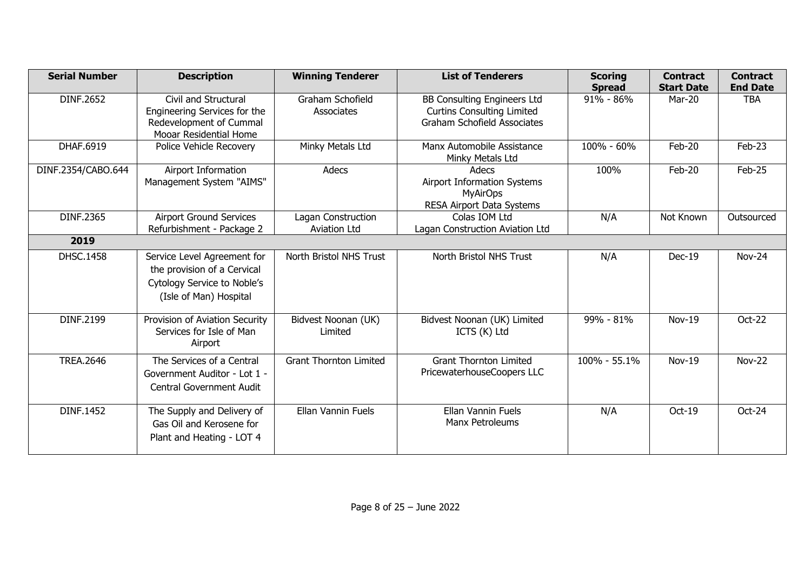| <b>Serial Number</b> | <b>Description</b>                                                                                                  | <b>Winning Tenderer</b>                   | <b>List of Tenderers</b>                                                                                      | <b>Scoring</b><br><b>Spread</b> | <b>Contract</b><br><b>Start Date</b> | <b>Contract</b><br><b>End Date</b> |
|----------------------|---------------------------------------------------------------------------------------------------------------------|-------------------------------------------|---------------------------------------------------------------------------------------------------------------|---------------------------------|--------------------------------------|------------------------------------|
| <b>DINF.2652</b>     | Civil and Structural<br>Engineering Services for the<br>Redevelopment of Cummal<br>Mooar Residential Home           | Graham Schofield<br>Associates            | <b>BB Consulting Engineers Ltd</b><br><b>Curtins Consulting Limited</b><br><b>Graham Schofield Associates</b> | 91% - 86%                       | Mar-20                               | <b>TBA</b>                         |
| DHAF.6919            | Police Vehicle Recovery                                                                                             | Minky Metals Ltd                          | Manx Automobile Assistance<br>Minky Metals Ltd                                                                | 100% - 60%                      | Feb-20                               | Feb-23                             |
| DINF.2354/CABO.644   | Airport Information<br>Management System "AIMS"                                                                     | Adecs                                     | Adecs<br>Airport Information Systems<br><b>MyAirOps</b><br>RESA Airport Data Systems                          | 100%                            | Feb-20                               | Feb-25                             |
| DINF.2365            | Airport Ground Services<br>Refurbishment - Package 2                                                                | Lagan Construction<br><b>Aviation Ltd</b> | Colas IOM Ltd<br>Lagan Construction Aviation Ltd                                                              | N/A                             | Not Known                            | Outsourced                         |
| 2019                 |                                                                                                                     |                                           |                                                                                                               |                                 |                                      |                                    |
| <b>DHSC.1458</b>     | Service Level Agreement for<br>the provision of a Cervical<br>Cytology Service to Noble's<br>(Isle of Man) Hospital | North Bristol NHS Trust                   | North Bristol NHS Trust                                                                                       | N/A                             | $Dec-19$                             | <b>Nov-24</b>                      |
| DINF.2199            | Provision of Aviation Security<br>Services for Isle of Man<br>Airport                                               | Bidvest Noonan (UK)<br>Limited            | Bidvest Noonan (UK) Limited<br>ICTS (K) Ltd                                                                   | 99% - 81%                       | Nov-19                               | Oct-22                             |
| <b>TREA.2646</b>     | The Services of a Central<br>Government Auditor - Lot 1 -<br>Central Government Audit                               | <b>Grant Thornton Limited</b>             | <b>Grant Thornton Limited</b><br>PricewaterhouseCoopers LLC                                                   | 100% - 55.1%                    | Nov-19                               | <b>Nov-22</b>                      |
| <b>DINF.1452</b>     | The Supply and Delivery of<br>Gas Oil and Kerosene for<br>Plant and Heating - LOT 4                                 | <b>Ellan Vannin Fuels</b>                 | <b>Ellan Vannin Fuels</b><br>Manx Petroleums                                                                  | N/A                             | Oct-19                               | Oct-24                             |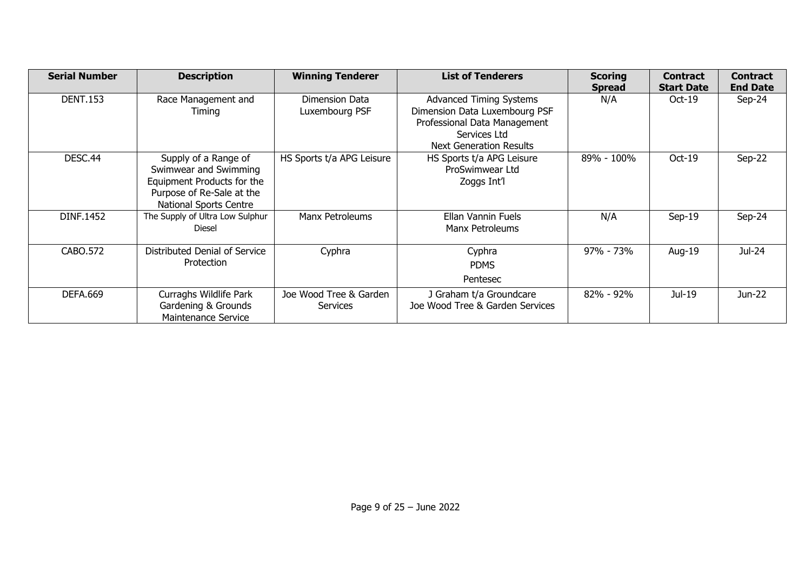| <b>Serial Number</b> | <b>Description</b>                                                                                                                        | <b>Winning Tenderer</b>            | <b>List of Tenderers</b>                                                                                                                          | <b>Scoring</b><br><b>Spread</b> | <b>Contract</b><br><b>Start Date</b> | <b>Contract</b><br><b>End Date</b> |
|----------------------|-------------------------------------------------------------------------------------------------------------------------------------------|------------------------------------|---------------------------------------------------------------------------------------------------------------------------------------------------|---------------------------------|--------------------------------------|------------------------------------|
| <b>DENT.153</b>      | Race Management and<br>Timing                                                                                                             | Dimension Data<br>Luxembourg PSF   | <b>Advanced Timing Systems</b><br>Dimension Data Luxembourg PSF<br>Professional Data Management<br>Services Ltd<br><b>Next Generation Results</b> | N/A                             | $Oct-19$                             | $Sep-24$                           |
| DESC <sub>.44</sub>  | Supply of a Range of<br>Swimwear and Swimming<br>Equipment Products for the<br>Purpose of Re-Sale at the<br><b>National Sports Centre</b> | HS Sports t/a APG Leisure          | HS Sports t/a APG Leisure<br>ProSwimwear Ltd<br>Zoggs Int'l                                                                                       | 89% - 100%                      | $Oct-19$                             | $Sep-22$                           |
| <b>DINF.1452</b>     | The Supply of Ultra Low Sulphur<br>Diesel                                                                                                 | Manx Petroleums                    | Ellan Vannin Fuels<br>Manx Petroleums                                                                                                             | N/A                             | $Sep-19$                             | $Sep-24$                           |
| CABO.572             | Distributed Denial of Service<br>Protection                                                                                               | Cyphra                             | Cyphra<br><b>PDMS</b><br>Pentesec                                                                                                                 | 97% - 73%                       | Aug-19                               | Jul-24                             |
| <b>DEFA.669</b>      | Curraghs Wildlife Park<br>Gardening & Grounds<br>Maintenance Service                                                                      | Joe Wood Tree & Garden<br>Services | J Graham t/a Groundcare<br>Joe Wood Tree & Garden Services                                                                                        | $82\% - 92\%$                   | Jul-19                               | Jun-22                             |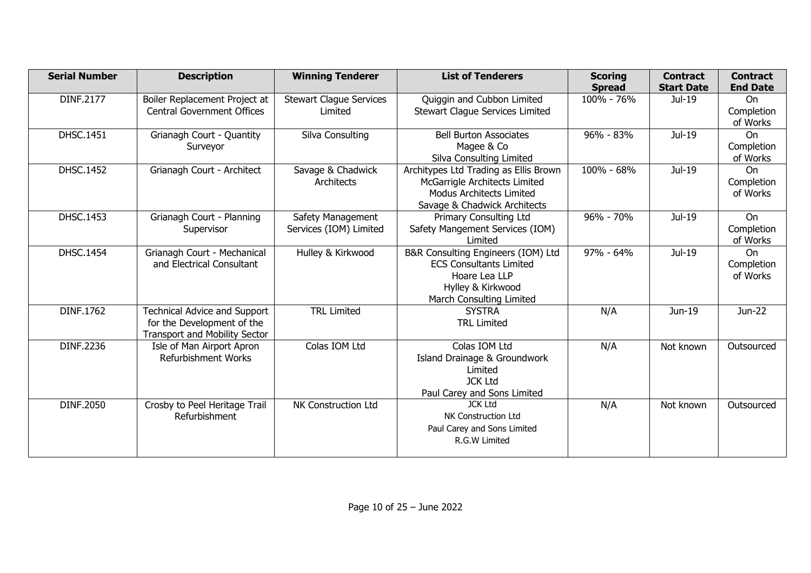| <b>Serial Number</b> | <b>Description</b>                                                                                        | <b>Winning Tenderer</b>                     | <b>List of Tenderers</b>                                                                                                                  | <b>Scoring</b><br><b>Spread</b> | <b>Contract</b><br><b>Start Date</b> | <b>Contract</b><br><b>End Date</b>  |
|----------------------|-----------------------------------------------------------------------------------------------------------|---------------------------------------------|-------------------------------------------------------------------------------------------------------------------------------------------|---------------------------------|--------------------------------------|-------------------------------------|
| DINF.2177            | Boiler Replacement Project at<br><b>Central Government Offices</b>                                        | <b>Stewart Clague Services</b><br>Limited   | Quiggin and Cubbon Limited<br>Stewart Clague Services Limited                                                                             | 100% - 76%                      | Jul-19                               | <b>On</b><br>Completion<br>of Works |
| <b>DHSC.1451</b>     | Grianagh Court - Quantity<br>Surveyor                                                                     | Silva Consulting                            | <b>Bell Burton Associates</b><br>Magee & Co<br>Silva Consulting Limited                                                                   | 96% - 83%                       | Jul-19                               | On<br>Completion<br>of Works        |
| DHSC.1452            | Grianagh Court - Architect                                                                                | Savage & Chadwick<br>Architects             | Architypes Ltd Trading as Ellis Brown<br>McGarrigle Architects Limited<br><b>Modus Architects Limited</b><br>Savage & Chadwick Architects | 100% - 68%                      | Jul-19                               | On<br>Completion<br>of Works        |
| DHSC.1453            | Grianagh Court - Planning<br>Supervisor                                                                   | Safety Management<br>Services (IOM) Limited | <b>Primary Consulting Ltd</b><br>Safety Mangement Services (IOM)<br>Limited                                                               | 96% - 70%                       | Jul-19                               | On<br>Completion<br>of Works        |
| <b>DHSC.1454</b>     | Grianagh Court - Mechanical<br>and Electrical Consultant                                                  | Hulley & Kirkwood                           | B&R Consulting Engineers (IOM) Ltd<br><b>ECS Consultants Limited</b><br>Hoare Lea LLP<br>Hylley & Kirkwood<br>March Consulting Limited    | $97\% - 64\%$                   | Jul-19                               | <b>On</b><br>Completion<br>of Works |
| DINF.1762            | <b>Technical Advice and Support</b><br>for the Development of the<br><b>Transport and Mobility Sector</b> | <b>TRL Limited</b>                          | <b>SYSTRA</b><br><b>TRL Limited</b>                                                                                                       | N/A                             | Jun-19                               | Jun-22                              |
| DINF.2236            | Isle of Man Airport Apron<br><b>Refurbishment Works</b>                                                   | Colas IOM Ltd                               | Colas IOM Ltd<br>Island Drainage & Groundwork<br>Limited<br><b>JCK Ltd</b><br>Paul Carey and Sons Limited                                 | N/A                             | Not known                            | Outsourced                          |
| DINF.2050            | Crosby to Peel Heritage Trail<br><b>Refurbishment</b>                                                     | NK Construction Ltd                         | <b>JCK Ltd</b><br>NK Construction Ltd<br>Paul Carey and Sons Limited<br>R.G.W Limited                                                     | N/A                             | Not known                            | Outsourced                          |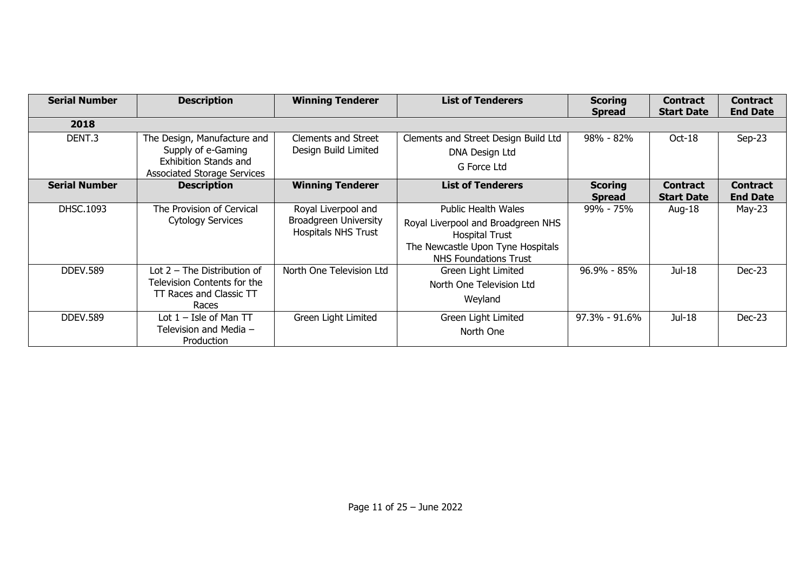| <b>Serial Number</b> | <b>Description</b>                                                                                                      | <b>Winning Tenderer</b>                                                           | <b>List of Tenderers</b>                                                                                                                                       | <b>Scoring</b><br><b>Spread</b> | <b>Contract</b><br><b>Start Date</b> | <b>Contract</b><br><b>End Date</b> |
|----------------------|-------------------------------------------------------------------------------------------------------------------------|-----------------------------------------------------------------------------------|----------------------------------------------------------------------------------------------------------------------------------------------------------------|---------------------------------|--------------------------------------|------------------------------------|
| 2018                 |                                                                                                                         |                                                                                   |                                                                                                                                                                |                                 |                                      |                                    |
| DENT.3               | The Design, Manufacture and<br>Supply of e-Gaming<br><b>Exhibition Stands and</b><br><b>Associated Storage Services</b> | Clements and Street<br>Design Build Limited                                       | Clements and Street Design Build Ltd<br>DNA Design Ltd<br>G Force Ltd                                                                                          | 98% - 82%                       | Oct-18                               | $Sep-23$                           |
| <b>Serial Number</b> | <b>Description</b>                                                                                                      | <b>Winning Tenderer</b>                                                           | <b>List of Tenderers</b>                                                                                                                                       | <b>Scoring</b><br><b>Spread</b> | <b>Contract</b><br><b>Start Date</b> | <b>Contract</b><br><b>End Date</b> |
| DHSC.1093            | The Provision of Cervical<br><b>Cytology Services</b>                                                                   | Royal Liverpool and<br><b>Broadgreen University</b><br><b>Hospitals NHS Trust</b> | <b>Public Health Wales</b><br>Royal Liverpool and Broadgreen NHS<br><b>Hospital Trust</b><br>The Newcastle Upon Tyne Hospitals<br><b>NHS Foundations Trust</b> | 99% - 75%                       | Aug-18                               | May-23                             |
| <b>DDEV.589</b>      | Lot $2$ – The Distribution of<br>Television Contents for the<br>TT Races and Classic TT<br>Races                        | North One Television Ltd                                                          | Green Light Limited<br>North One Television Ltd<br>Weyland                                                                                                     | $96.9\% - 85\%$                 | Jul-18                               | $Dec-23$                           |
| <b>DDEV.589</b>      | Lot $1 -$ Isle of Man TT<br>Television and Media -<br>Production                                                        | Green Light Limited                                                               | Green Light Limited<br>North One                                                                                                                               | $97.3\% - 91.6\%$               | Jul-18                               | $Dec-23$                           |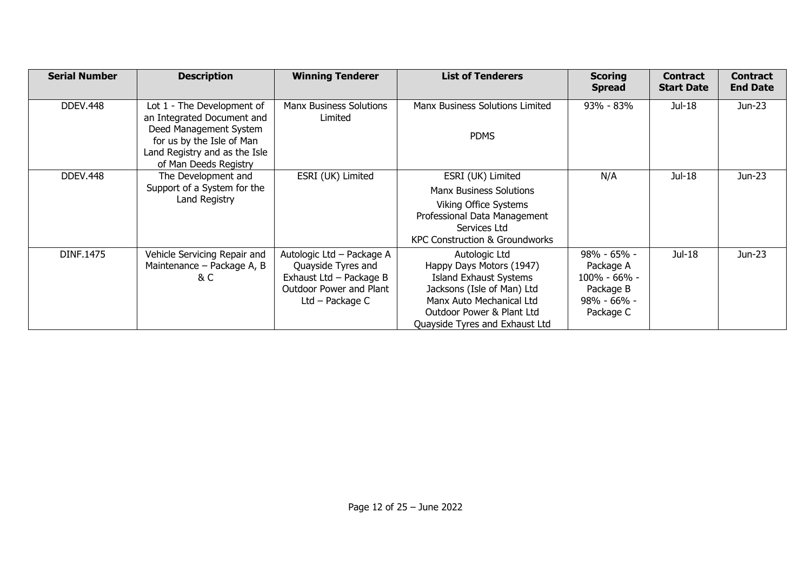| <b>Serial Number</b> | <b>Description</b>                                                                  | <b>Winning Tenderer</b>                              | <b>List of Tenderers</b>                                  | <b>Scoring</b><br><b>Spread</b> | <b>Contract</b><br><b>Start Date</b> | <b>Contract</b><br><b>End Date</b> |
|----------------------|-------------------------------------------------------------------------------------|------------------------------------------------------|-----------------------------------------------------------|---------------------------------|--------------------------------------|------------------------------------|
| <b>DDEV.448</b>      | Lot 1 - The Development of<br>an Integrated Document and<br>Deed Management System  | <b>Manx Business Solutions</b><br>Limited            | Manx Business Solutions Limited<br><b>PDMS</b>            | 93% - 83%                       | Jul-18                               | Jun-23                             |
|                      | for us by the Isle of Man<br>Land Registry and as the Isle<br>of Man Deeds Registry |                                                      |                                                           |                                 |                                      |                                    |
| <b>DDEV.448</b>      | The Development and                                                                 | ESRI (UK) Limited                                    | ESRI (UK) Limited                                         | N/A                             | Jul-18                               | Jun-23                             |
|                      | Support of a System for the                                                         |                                                      | <b>Manx Business Solutions</b>                            |                                 |                                      |                                    |
|                      | Land Registry                                                                       |                                                      | Viking Office Systems                                     |                                 |                                      |                                    |
|                      |                                                                                     |                                                      | Professional Data Management                              |                                 |                                      |                                    |
|                      |                                                                                     |                                                      | Services Ltd                                              |                                 |                                      |                                    |
|                      |                                                                                     |                                                      | KPC Construction & Groundworks                            |                                 |                                      |                                    |
| DINF.1475            | Vehicle Servicing Repair and                                                        | Autologic Ltd - Package A                            | Autologic Ltd                                             | 98% - 65% -                     | Jul-18                               | Jun-23                             |
|                      | Maintenance – Package A, B<br>& C                                                   | Quayside Tyres and                                   | Happy Days Motors (1947)<br><b>Island Exhaust Systems</b> | Package A<br>$100\% - 66\% -$   |                                      |                                    |
|                      |                                                                                     | Exhaust Ltd $-$ Package B<br>Outdoor Power and Plant | Jacksons (Isle of Man) Ltd                                | Package B                       |                                      |                                    |
|                      |                                                                                     | Ltd – Package $C$                                    | Manx Auto Mechanical Ltd                                  | 98% - 66% -                     |                                      |                                    |
|                      |                                                                                     |                                                      | Outdoor Power & Plant Ltd                                 | Package C                       |                                      |                                    |
|                      |                                                                                     |                                                      | Quayside Tyres and Exhaust Ltd                            |                                 |                                      |                                    |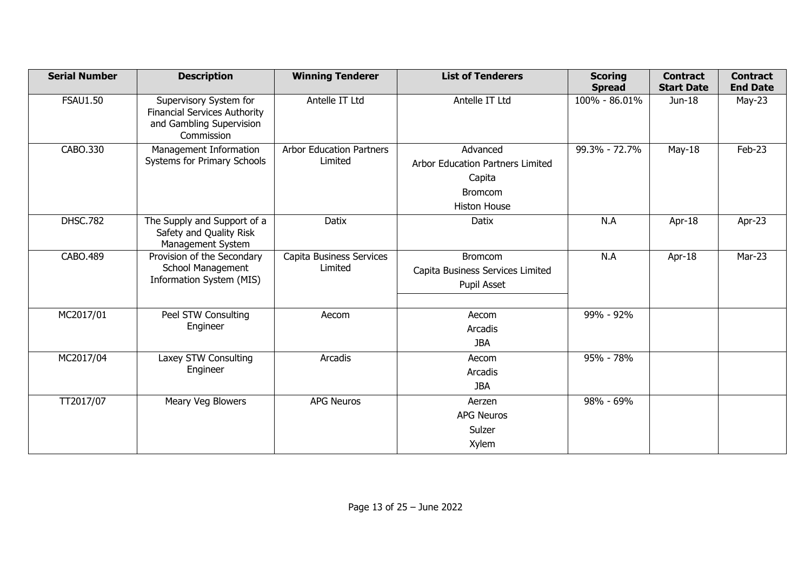| <b>Serial Number</b> | <b>Description</b>                                                                                      | <b>Winning Tenderer</b>                    | <b>List of Tenderers</b>                                                                               | <b>Scoring</b><br><b>Spread</b> | <b>Contract</b><br><b>Start Date</b> | <b>Contract</b><br><b>End Date</b> |
|----------------------|---------------------------------------------------------------------------------------------------------|--------------------------------------------|--------------------------------------------------------------------------------------------------------|---------------------------------|--------------------------------------|------------------------------------|
| <b>FSAU1.50</b>      | Supervisory System for<br><b>Financial Services Authority</b><br>and Gambling Supervision<br>Commission | Antelle IT Ltd                             | Antelle IT Ltd                                                                                         | 100% - 86.01%                   | Jun-18                               | $May-23$                           |
| CABO.330             | Management Information<br>Systems for Primary Schools                                                   | <b>Arbor Education Partners</b><br>Limited | Advanced<br><b>Arbor Education Partners Limited</b><br>Capita<br><b>Bromcom</b><br><b>Histon House</b> | 99.3% - 72.7%                   | $May-18$                             | Feb-23                             |
| <b>DHSC.782</b>      | The Supply and Support of a<br>Safety and Quality Risk<br>Management System                             | Datix                                      | Datix                                                                                                  | N.A                             | Apr- $18$                            | Apr-23                             |
| CABO.489             | Provision of the Secondary<br>School Management<br>Information System (MIS)                             | Capita Business Services<br>Limited        | <b>Bromcom</b><br>Capita Business Services Limited<br>Pupil Asset                                      | N.A                             | Apr-18                               | Mar-23                             |
| MC2017/01            | Peel STW Consulting<br>Engineer                                                                         | Aecom                                      | Aecom<br>Arcadis<br><b>JBA</b>                                                                         | 99% - 92%                       |                                      |                                    |
| MC2017/04            | Laxey STW Consulting<br>Engineer                                                                        | Arcadis                                    | Aecom<br>Arcadis<br><b>JBA</b>                                                                         | 95% - 78%                       |                                      |                                    |
| TT2017/07            | Meary Veg Blowers                                                                                       | <b>APG Neuros</b>                          | Aerzen<br><b>APG Neuros</b><br>Sulzer<br>Xylem                                                         | 98% - 69%                       |                                      |                                    |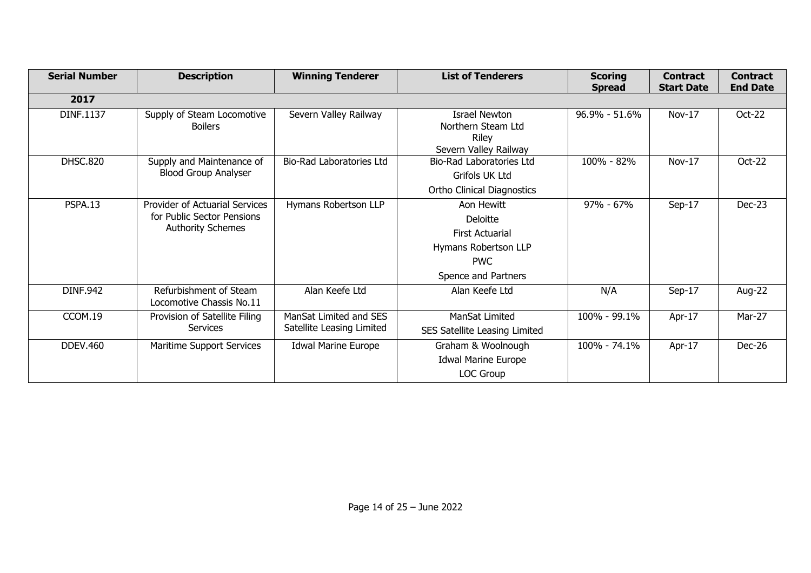| <b>Serial Number</b> | <b>Description</b>                                                                       | <b>Winning Tenderer</b>                             | <b>List of Tenderers</b>                                                                                      | <b>Scoring</b><br><b>Spread</b> | <b>Contract</b><br><b>Start Date</b> | <b>Contract</b><br><b>End Date</b> |
|----------------------|------------------------------------------------------------------------------------------|-----------------------------------------------------|---------------------------------------------------------------------------------------------------------------|---------------------------------|--------------------------------------|------------------------------------|
| 2017                 |                                                                                          |                                                     |                                                                                                               |                                 |                                      |                                    |
| DINF.1137            | Supply of Steam Locomotive<br><b>Boilers</b>                                             | Severn Valley Railway                               | <b>Israel Newton</b><br>Northern Steam Ltd<br>Riley<br>Severn Valley Railway                                  | 96.9% - 51.6%                   | Nov-17                               | Oct-22                             |
| <b>DHSC.820</b>      | Supply and Maintenance of<br><b>Blood Group Analyser</b>                                 | <b>Bio-Rad Laboratories Ltd</b>                     | <b>Bio-Rad Laboratories Ltd</b><br>Grifols UK Ltd<br><b>Ortho Clinical Diagnostics</b>                        | 100% - 82%                      | Nov-17                               | Oct-22                             |
| <b>PSPA.13</b>       | Provider of Actuarial Services<br>for Public Sector Pensions<br><b>Authority Schemes</b> | Hymans Robertson LLP                                | Aon Hewitt<br>Deloitte<br><b>First Actuarial</b><br>Hymans Robertson LLP<br><b>PWC</b><br>Spence and Partners | $97\% - 67\%$                   | Sep-17                               | <b>Dec-23</b>                      |
| <b>DINF.942</b>      | Refurbishment of Steam<br>Locomotive Chassis No.11                                       | Alan Keefe Ltd                                      | Alan Keefe Ltd                                                                                                | N/A                             | $Sep-17$                             | Aug-22                             |
| CCOM.19              | Provision of Satellite Filing<br>Services                                                | ManSat Limited and SES<br>Satellite Leasing Limited | ManSat Limited<br>SES Satellite Leasing Limited                                                               | 100% - 99.1%                    | Apr-17                               | Mar-27                             |
| <b>DDEV.460</b>      | Maritime Support Services                                                                | <b>Idwal Marine Europe</b>                          | Graham & Woolnough<br><b>Idwal Marine Europe</b><br>LOC Group                                                 | 100% - 74.1%                    | Apr-17                               | Dec-26                             |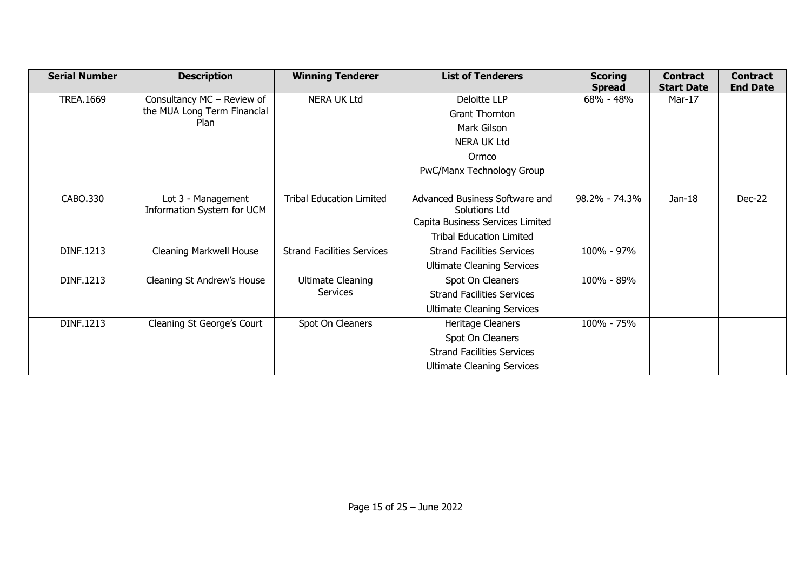| <b>Serial Number</b> | <b>Description</b>                  | <b>Winning Tenderer</b>           | <b>List of Tenderers</b>          | <b>Scoring</b><br><b>Spread</b> | <b>Contract</b><br><b>Start Date</b> | <b>Contract</b><br><b>End Date</b> |
|----------------------|-------------------------------------|-----------------------------------|-----------------------------------|---------------------------------|--------------------------------------|------------------------------------|
| <b>TREA.1669</b>     | Consultancy MC - Review of          | <b>NERA UK Ltd</b>                | Deloitte LLP                      | 68% - 48%                       | Mar-17                               |                                    |
|                      | the MUA Long Term Financial<br>Plan |                                   | <b>Grant Thornton</b>             |                                 |                                      |                                    |
|                      |                                     |                                   | Mark Gilson                       |                                 |                                      |                                    |
|                      |                                     |                                   | <b>NERA UK Ltd</b>                |                                 |                                      |                                    |
|                      |                                     |                                   | Ormco                             |                                 |                                      |                                    |
|                      |                                     |                                   | PwC/Manx Technology Group         |                                 |                                      |                                    |
|                      |                                     |                                   |                                   |                                 |                                      |                                    |
| CABO.330             | Lot 3 - Management                  | <b>Tribal Education Limited</b>   | Advanced Business Software and    | 98.2% - 74.3%                   | $Jan-18$                             | Dec-22                             |
|                      | Information System for UCM          |                                   | Solutions Ltd                     |                                 |                                      |                                    |
|                      |                                     |                                   | Capita Business Services Limited  |                                 |                                      |                                    |
|                      |                                     |                                   | <b>Tribal Education Limited</b>   |                                 |                                      |                                    |
| DINF.1213            | Cleaning Markwell House             | <b>Strand Facilities Services</b> | <b>Strand Facilities Services</b> | 100% - 97%                      |                                      |                                    |
|                      |                                     |                                   | <b>Ultimate Cleaning Services</b> |                                 |                                      |                                    |
| DINF.1213            | Cleaning St Andrew's House          | <b>Ultimate Cleaning</b>          | Spot On Cleaners                  | 100% - 89%                      |                                      |                                    |
|                      |                                     | <b>Services</b>                   | <b>Strand Facilities Services</b> |                                 |                                      |                                    |
|                      |                                     |                                   | <b>Ultimate Cleaning Services</b> |                                 |                                      |                                    |
| DINF.1213            | Cleaning St George's Court          | Spot On Cleaners                  | Heritage Cleaners                 | 100% - 75%                      |                                      |                                    |
|                      |                                     |                                   | Spot On Cleaners                  |                                 |                                      |                                    |
|                      |                                     |                                   | <b>Strand Facilities Services</b> |                                 |                                      |                                    |
|                      |                                     |                                   | <b>Ultimate Cleaning Services</b> |                                 |                                      |                                    |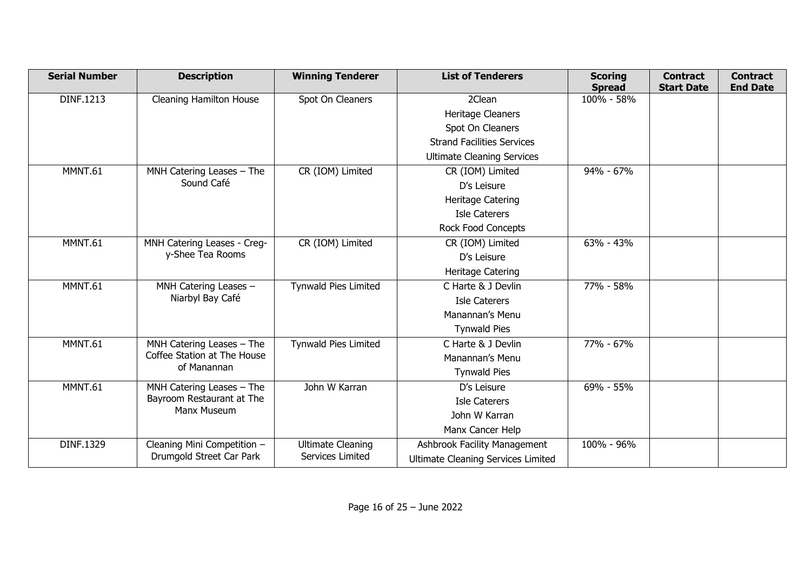| <b>Serial Number</b> | <b>Description</b>          | <b>Winning Tenderer</b>                      | <b>List of Tenderers</b>            | <b>Scoring</b><br><b>Spread</b> | <b>Contract</b><br><b>Start Date</b> | <b>Contract</b><br><b>End Date</b> |
|----------------------|-----------------------------|----------------------------------------------|-------------------------------------|---------------------------------|--------------------------------------|------------------------------------|
| DINF.1213            | Cleaning Hamilton House     | Spot On Cleaners                             | 2Clean                              | 100% - 58%                      |                                      |                                    |
|                      |                             |                                              | Heritage Cleaners                   |                                 |                                      |                                    |
|                      |                             |                                              | Spot On Cleaners                    |                                 |                                      |                                    |
|                      |                             |                                              | <b>Strand Facilities Services</b>   |                                 |                                      |                                    |
|                      |                             |                                              | <b>Ultimate Cleaning Services</b>   |                                 |                                      |                                    |
| MMNT.61              | MNH Catering Leases - The   | CR (IOM) Limited                             | CR (IOM) Limited                    | 94% - 67%                       |                                      |                                    |
|                      | Sound Café                  |                                              | D's Leisure                         |                                 |                                      |                                    |
|                      |                             |                                              | <b>Heritage Catering</b>            |                                 |                                      |                                    |
|                      |                             |                                              | <b>Isle Caterers</b>                |                                 |                                      |                                    |
|                      |                             |                                              | <b>Rock Food Concepts</b>           |                                 |                                      |                                    |
| MMNT.61              | MNH Catering Leases - Creg- | CR (IOM) Limited                             | CR (IOM) Limited                    | 63% - 43%                       |                                      |                                    |
|                      | y-Shee Tea Rooms            |                                              | D's Leisure                         |                                 |                                      |                                    |
|                      |                             |                                              | Heritage Catering                   |                                 |                                      |                                    |
| MMNT.61              | MNH Catering Leases -       | <b>Tynwald Pies Limited</b>                  | C Harte & J Devlin                  | 77% - 58%                       |                                      |                                    |
|                      | Niarbyl Bay Café            |                                              | <b>Isle Caterers</b>                |                                 |                                      |                                    |
|                      |                             |                                              | Manannan's Menu                     |                                 |                                      |                                    |
|                      |                             |                                              | <b>Tynwald Pies</b>                 |                                 |                                      |                                    |
| MMNT.61              | MNH Catering Leases - The   | <b>Tynwald Pies Limited</b>                  | C Harte & J Devlin                  | 77% - 67%                       |                                      |                                    |
|                      | Coffee Station at The House |                                              | Manannan's Menu                     |                                 |                                      |                                    |
|                      | of Manannan                 |                                              | <b>Tynwald Pies</b>                 |                                 |                                      |                                    |
| MMNT.61              | MNH Catering Leases - The   | John W Karran                                | D's Leisure                         | 69% - 55%                       |                                      |                                    |
|                      | Bayroom Restaurant at The   |                                              | Isle Caterers                       |                                 |                                      |                                    |
|                      | Manx Museum                 |                                              | John W Karran                       |                                 |                                      |                                    |
|                      |                             |                                              | Manx Cancer Help                    |                                 |                                      |                                    |
| DINF.1329            | Cleaning Mini Competition - | <b>Ultimate Cleaning</b><br>Services Limited | <b>Ashbrook Facility Management</b> | 100% - 96%                      |                                      |                                    |
|                      | Drumgold Street Car Park    |                                              | Ultimate Cleaning Services Limited  |                                 |                                      |                                    |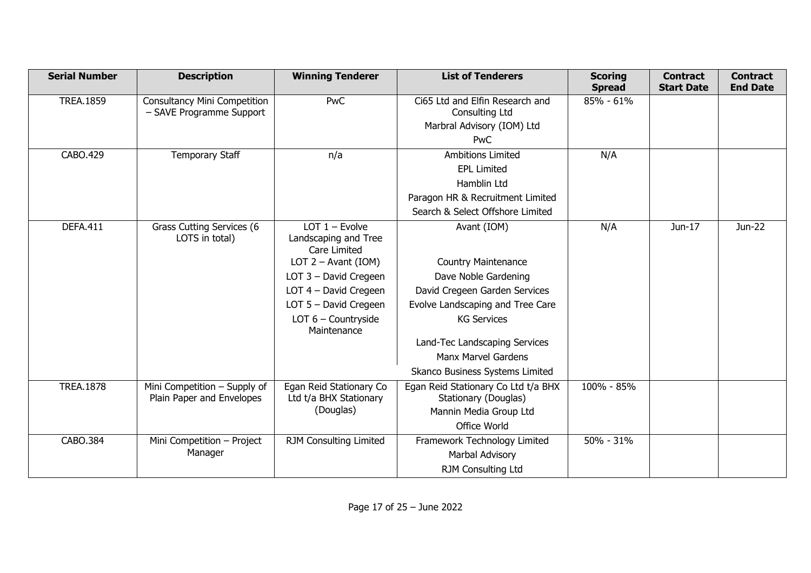| <b>Serial Number</b> | <b>Description</b>                  | <b>Winning Tenderer</b>              | <b>List of Tenderers</b>            | <b>Scoring</b><br><b>Spread</b> | <b>Contract</b><br><b>Start Date</b> | <b>Contract</b><br><b>End Date</b> |
|----------------------|-------------------------------------|--------------------------------------|-------------------------------------|---------------------------------|--------------------------------------|------------------------------------|
| <b>TREA.1859</b>     | <b>Consultancy Mini Competition</b> | <b>PwC</b>                           | Ci65 Ltd and Elfin Research and     | 85% - 61%                       |                                      |                                    |
|                      | - SAVE Programme Support            |                                      | Consulting Ltd                      |                                 |                                      |                                    |
|                      |                                     |                                      | Marbral Advisory (IOM) Ltd          |                                 |                                      |                                    |
|                      |                                     |                                      | PwC                                 |                                 |                                      |                                    |
| CABO.429             | <b>Temporary Staff</b>              | n/a                                  | <b>Ambitions Limited</b>            | N/A                             |                                      |                                    |
|                      |                                     |                                      | <b>EPL Limited</b>                  |                                 |                                      |                                    |
|                      |                                     |                                      | Hamblin Ltd                         |                                 |                                      |                                    |
|                      |                                     |                                      | Paragon HR & Recruitment Limited    |                                 |                                      |                                    |
|                      |                                     |                                      | Search & Select Offshore Limited    |                                 |                                      |                                    |
| <b>DEFA.411</b>      | Grass Cutting Services (6           | LOT $1 -$ Evolve                     | Avant (IOM)                         | N/A                             | Jun-17                               | Jun-22                             |
|                      | LOTS in total)                      | Landscaping and Tree                 |                                     |                                 |                                      |                                    |
|                      |                                     | Care Limited                         |                                     |                                 |                                      |                                    |
|                      |                                     | LOT $2 -$ Avant (IOM)                | <b>Country Maintenance</b>          |                                 |                                      |                                    |
|                      |                                     | LOT 3 - David Cregeen                | Dave Noble Gardening                |                                 |                                      |                                    |
|                      |                                     | LOT 4 - David Cregeen                | David Cregeen Garden Services       |                                 |                                      |                                    |
|                      |                                     | LOT $5$ – David Cregeen              | Evolve Landscaping and Tree Care    |                                 |                                      |                                    |
|                      |                                     | LOT $6$ – Countryside<br>Maintenance | <b>KG Services</b>                  |                                 |                                      |                                    |
|                      |                                     |                                      | Land-Tec Landscaping Services       |                                 |                                      |                                    |
|                      |                                     |                                      | <b>Manx Marvel Gardens</b>          |                                 |                                      |                                    |
|                      |                                     |                                      | Skanco Business Systems Limited     |                                 |                                      |                                    |
| <b>TREA.1878</b>     | Mini Competition - Supply of        | Egan Reid Stationary Co              | Egan Reid Stationary Co Ltd t/a BHX | 100% - 85%                      |                                      |                                    |
|                      | Plain Paper and Envelopes           | Ltd t/a BHX Stationary               | Stationary (Douglas)                |                                 |                                      |                                    |
|                      |                                     | (Douglas)                            | Mannin Media Group Ltd              |                                 |                                      |                                    |
|                      |                                     |                                      | Office World                        |                                 |                                      |                                    |
| CABO.384             | Mini Competition - Project          | RJM Consulting Limited               | Framework Technology Limited        | 50% - 31%                       |                                      |                                    |
|                      | Manager                             |                                      | Marbal Advisory                     |                                 |                                      |                                    |
|                      |                                     |                                      | RJM Consulting Ltd                  |                                 |                                      |                                    |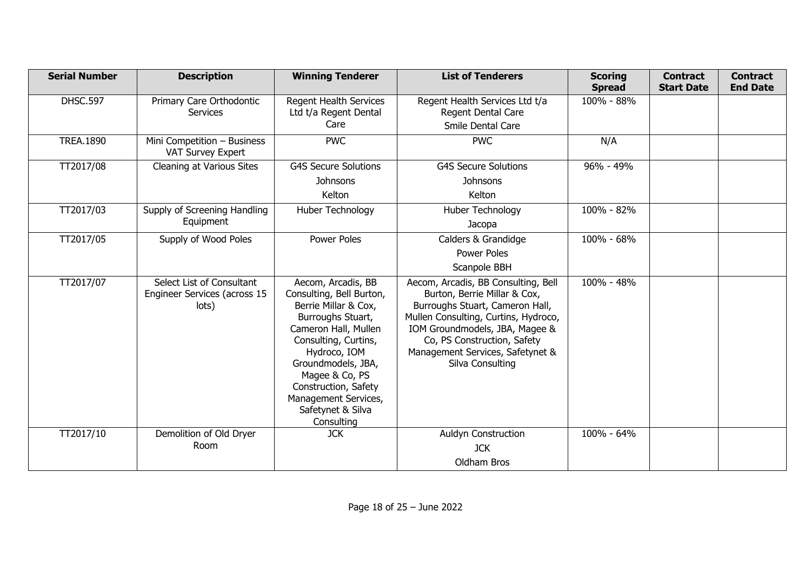| <b>Serial Number</b> | <b>Description</b>                                                 | <b>Winning Tenderer</b>                                                                                                                                                                                                                                                                | <b>List of Tenderers</b>                                                                                                                                                                                                                                                | <b>Scoring</b><br><b>Spread</b> | <b>Contract</b><br><b>Start Date</b> | <b>Contract</b><br><b>End Date</b> |
|----------------------|--------------------------------------------------------------------|----------------------------------------------------------------------------------------------------------------------------------------------------------------------------------------------------------------------------------------------------------------------------------------|-------------------------------------------------------------------------------------------------------------------------------------------------------------------------------------------------------------------------------------------------------------------------|---------------------------------|--------------------------------------|------------------------------------|
| <b>DHSC.597</b>      | Primary Care Orthodontic<br><b>Services</b>                        | <b>Regent Health Services</b><br>Ltd t/a Regent Dental<br>Care                                                                                                                                                                                                                         | Regent Health Services Ltd t/a<br>Regent Dental Care<br>Smile Dental Care                                                                                                                                                                                               | 100% - 88%                      |                                      |                                    |
| <b>TREA.1890</b>     | Mini Competition - Business<br><b>VAT Survey Expert</b>            | <b>PWC</b>                                                                                                                                                                                                                                                                             | <b>PWC</b>                                                                                                                                                                                                                                                              | N/A                             |                                      |                                    |
| TT2017/08            | Cleaning at Various Sites                                          | <b>G4S Secure Solutions</b><br><b>Johnsons</b><br>Kelton                                                                                                                                                                                                                               | <b>G4S Secure Solutions</b><br>Johnsons<br>Kelton                                                                                                                                                                                                                       | $96\% - 49\%$                   |                                      |                                    |
| TT2017/03            | Supply of Screening Handling<br>Equipment                          | Huber Technology                                                                                                                                                                                                                                                                       | Huber Technology<br>Jacopa                                                                                                                                                                                                                                              | 100% - 82%                      |                                      |                                    |
| TT2017/05            | Supply of Wood Poles                                               | Power Poles                                                                                                                                                                                                                                                                            | Calders & Grandidge<br>Power Poles<br>Scanpole BBH                                                                                                                                                                                                                      | 100% - 68%                      |                                      |                                    |
| TT2017/07            | Select List of Consultant<br>Engineer Services (across 15<br>lots) | Aecom, Arcadis, BB<br>Consulting, Bell Burton,<br>Berrie Millar & Cox,<br>Burroughs Stuart,<br>Cameron Hall, Mullen<br>Consulting, Curtins,<br>Hydroco, IOM<br>Groundmodels, JBA,<br>Magee & Co, PS<br>Construction, Safety<br>Management Services,<br>Safetynet & Silva<br>Consulting | Aecom, Arcadis, BB Consulting, Bell<br>Burton, Berrie Millar & Cox,<br>Burroughs Stuart, Cameron Hall,<br>Mullen Consulting, Curtins, Hydroco,<br>IOM Groundmodels, JBA, Magee &<br>Co, PS Construction, Safety<br>Management Services, Safetynet &<br>Silva Consulting | 100% - 48%                      |                                      |                                    |
| TT2017/10            | Demolition of Old Dryer<br>Room                                    | <b>JCK</b>                                                                                                                                                                                                                                                                             | <b>Auldyn Construction</b><br><b>JCK</b><br>Oldham Bros                                                                                                                                                                                                                 | 100% - 64%                      |                                      |                                    |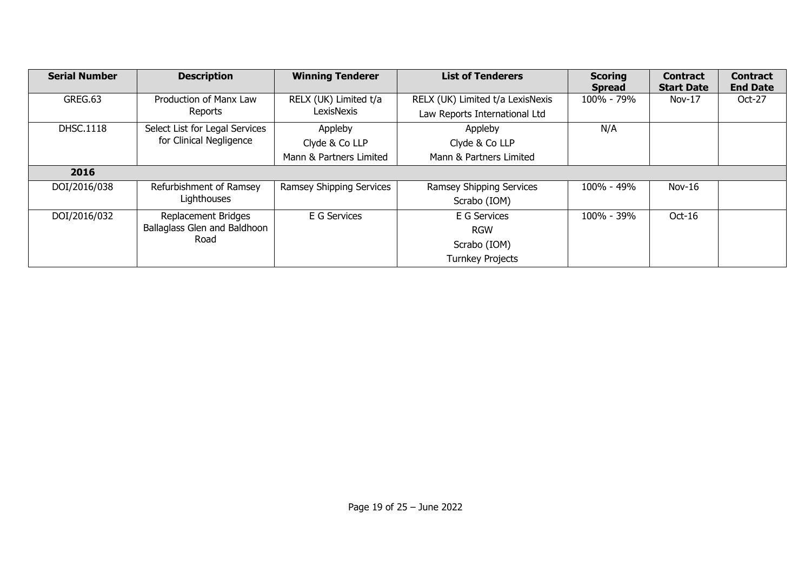| <b>Serial Number</b> | <b>Description</b>             | <b>Winning Tenderer</b>  | <b>List of Tenderers</b>         | <b>Scoring</b> | <b>Contract</b>   | <b>Contract</b> |
|----------------------|--------------------------------|--------------------------|----------------------------------|----------------|-------------------|-----------------|
|                      |                                |                          |                                  | <b>Spread</b>  | <b>Start Date</b> | <b>End Date</b> |
| GREG.63              | Production of Manx Law         | RELX (UK) Limited t/a    | RELX (UK) Limited t/a LexisNexis | 100% - 79%     | $Nov-17$          | Oct-27          |
|                      | Reports                        | LexisNexis               | Law Reports International Ltd    |                |                   |                 |
| <b>DHSC.1118</b>     | Select List for Legal Services | Appleby                  | Appleby                          | N/A            |                   |                 |
|                      | for Clinical Negligence        | Clyde & Co LLP           | Clyde & Co LLP                   |                |                   |                 |
|                      |                                | Mann & Partners Limited  | Mann & Partners Limited          |                |                   |                 |
| 2016                 |                                |                          |                                  |                |                   |                 |
| DOI/2016/038         | Refurbishment of Ramsey        | Ramsey Shipping Services | Ramsey Shipping Services         | 100% - 49%     | $Nov-16$          |                 |
|                      | Lighthouses                    |                          | Scrabo (IOM)                     |                |                   |                 |
| DOI/2016/032         | Replacement Bridges            | E G Services             | E G Services                     | 100% - 39%     | $Oct-16$          |                 |
|                      | Ballaglass Glen and Baldhoon   |                          | <b>RGW</b>                       |                |                   |                 |
|                      | Road                           |                          | Scrabo (IOM)                     |                |                   |                 |
|                      |                                |                          | <b>Turnkey Projects</b>          |                |                   |                 |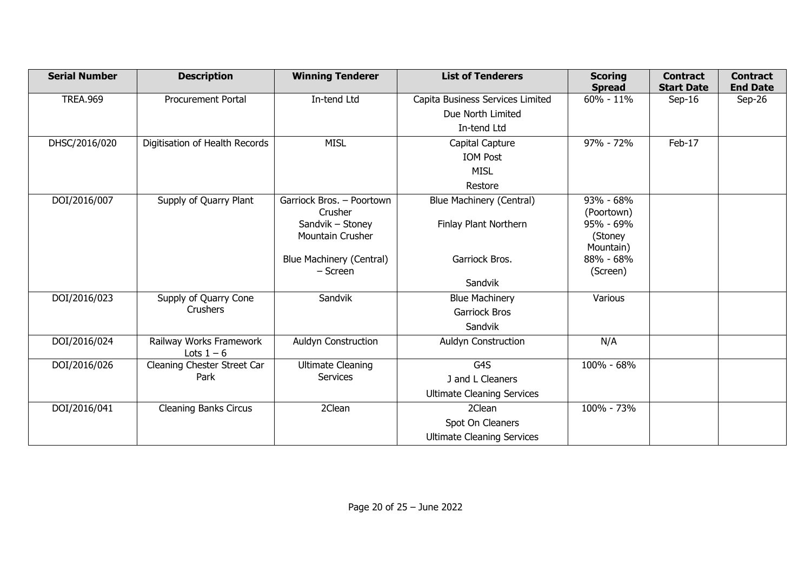| <b>Serial Number</b> | <b>Description</b>                      | <b>Winning Tenderer</b>                     | <b>List of Tenderers</b>          | <b>Scoring</b><br><b>Spread</b> | <b>Contract</b><br><b>Start Date</b> | <b>Contract</b><br><b>End Date</b> |
|----------------------|-----------------------------------------|---------------------------------------------|-----------------------------------|---------------------------------|--------------------------------------|------------------------------------|
| <b>TREA.969</b>      | <b>Procurement Portal</b>               | In-tend Ltd                                 | Capita Business Services Limited  | $60\% - 11\%$                   | $Sep-16$                             | Sep-26                             |
|                      |                                         |                                             | Due North Limited                 |                                 |                                      |                                    |
|                      |                                         |                                             | In-tend Ltd                       |                                 |                                      |                                    |
| DHSC/2016/020        | Digitisation of Health Records          | <b>MISL</b>                                 | Capital Capture                   | 97% - 72%                       | Feb-17                               |                                    |
|                      |                                         |                                             | <b>IOM Post</b>                   |                                 |                                      |                                    |
|                      |                                         |                                             | <b>MISL</b>                       |                                 |                                      |                                    |
|                      |                                         |                                             | Restore                           |                                 |                                      |                                    |
| DOI/2016/007         | Supply of Quarry Plant                  | Garriock Bros. - Poortown                   | <b>Blue Machinery (Central)</b>   | $93\% - 68\%$                   |                                      |                                    |
|                      |                                         | Crusher                                     |                                   | (Poortown)                      |                                      |                                    |
|                      |                                         | Sandvik - Stoney<br><b>Mountain Crusher</b> | Finlay Plant Northern             | 95% - 69%<br>(Stoney            |                                      |                                    |
|                      |                                         |                                             |                                   | Mountain)                       |                                      |                                    |
|                      |                                         | <b>Blue Machinery (Central)</b>             | Garriock Bros.                    | 88% - 68%                       |                                      |                                    |
|                      |                                         | - Screen                                    |                                   | (Screen)                        |                                      |                                    |
|                      |                                         |                                             | Sandvik                           |                                 |                                      |                                    |
| DOI/2016/023         | Supply of Quarry Cone                   | Sandvik                                     | <b>Blue Machinery</b>             | Various                         |                                      |                                    |
|                      | <b>Crushers</b>                         |                                             | <b>Garriock Bros</b>              |                                 |                                      |                                    |
|                      |                                         |                                             | Sandvik                           |                                 |                                      |                                    |
| DOI/2016/024         | Railway Works Framework<br>Lots $1 - 6$ | Auldyn Construction                         | <b>Auldyn Construction</b>        | N/A                             |                                      |                                    |
| DOI/2016/026         | Cleaning Chester Street Car             | <b>Ultimate Cleaning</b>                    | G <sub>4</sub> S                  | 100% - 68%                      |                                      |                                    |
|                      | Park                                    | <b>Services</b>                             | J and L Cleaners                  |                                 |                                      |                                    |
|                      |                                         |                                             | <b>Ultimate Cleaning Services</b> |                                 |                                      |                                    |
| DOI/2016/041         | <b>Cleaning Banks Circus</b>            | 2Clean                                      | 2Clean                            | 100% - 73%                      |                                      |                                    |
|                      |                                         |                                             | Spot On Cleaners                  |                                 |                                      |                                    |
|                      |                                         |                                             | <b>Ultimate Cleaning Services</b> |                                 |                                      |                                    |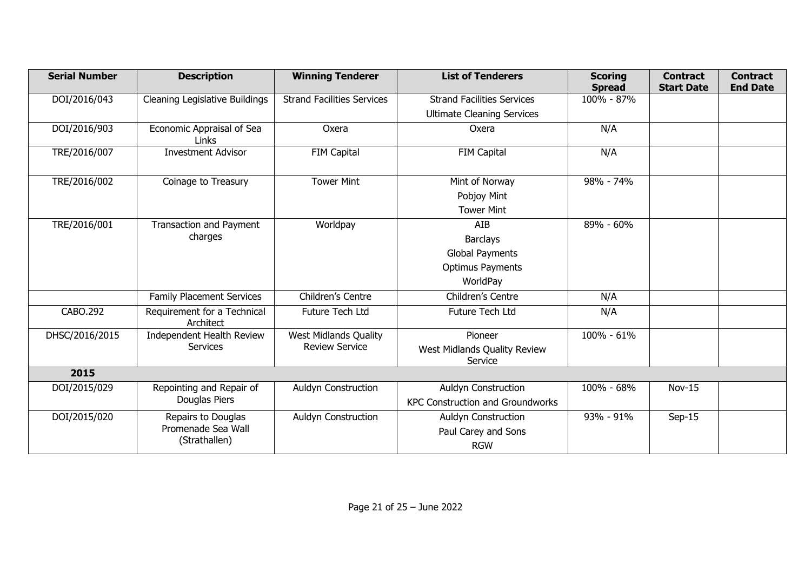| <b>Serial Number</b> | <b>Description</b>                       | <b>Winning Tenderer</b>           | <b>List of Tenderers</b>                | <b>Scoring</b><br><b>Spread</b> | <b>Contract</b><br><b>Start Date</b> | <b>Contract</b><br><b>End Date</b> |
|----------------------|------------------------------------------|-----------------------------------|-----------------------------------------|---------------------------------|--------------------------------------|------------------------------------|
| DOI/2016/043         | <b>Cleaning Legislative Buildings</b>    | <b>Strand Facilities Services</b> | <b>Strand Facilities Services</b>       | 100% - 87%                      |                                      |                                    |
|                      |                                          |                                   | <b>Ultimate Cleaning Services</b>       |                                 |                                      |                                    |
| DOI/2016/903         | Economic Appraisal of Sea<br>Links       | Oxera                             | Oxera                                   | N/A                             |                                      |                                    |
| TRE/2016/007         | <b>Investment Advisor</b>                | FIM Capital                       | FIM Capital                             | N/A                             |                                      |                                    |
| TRE/2016/002         | Coinage to Treasury                      | <b>Tower Mint</b>                 | Mint of Norway                          | $98% - 74%$                     |                                      |                                    |
|                      |                                          |                                   | Pobjoy Mint                             |                                 |                                      |                                    |
|                      |                                          |                                   | <b>Tower Mint</b>                       |                                 |                                      |                                    |
| TRE/2016/001         | <b>Transaction and Payment</b>           | Worldpay                          | AIB                                     | 89% - 60%                       |                                      |                                    |
|                      | charges                                  |                                   | <b>Barclays</b>                         |                                 |                                      |                                    |
|                      |                                          |                                   | <b>Global Payments</b>                  |                                 |                                      |                                    |
|                      |                                          |                                   | <b>Optimus Payments</b>                 |                                 |                                      |                                    |
|                      |                                          |                                   | WorldPay                                |                                 |                                      |                                    |
|                      | <b>Family Placement Services</b>         | Children's Centre                 | Children's Centre                       | N/A                             |                                      |                                    |
| CABO.292             | Requirement for a Technical<br>Architect | Future Tech Ltd                   | Future Tech Ltd                         | N/A                             |                                      |                                    |
| DHSC/2016/2015       | Independent Health Review                | West Midlands Quality             | Pioneer                                 | 100% - 61%                      |                                      |                                    |
|                      | Services                                 | <b>Review Service</b>             | West Midlands Quality Review<br>Service |                                 |                                      |                                    |
| 2015                 |                                          |                                   |                                         |                                 |                                      |                                    |
| DOI/2015/029         | Repointing and Repair of                 | <b>Auldyn Construction</b>        | <b>Auldyn Construction</b>              | 100% - 68%                      | $Nov-15$                             |                                    |
|                      | Douglas Piers                            |                                   | <b>KPC Construction and Groundworks</b> |                                 |                                      |                                    |
| DOI/2015/020         | Repairs to Douglas                       | Auldyn Construction               | <b>Auldyn Construction</b>              | 93% - 91%                       | $Sep-15$                             |                                    |
|                      | Promenade Sea Wall                       |                                   | Paul Carey and Sons                     |                                 |                                      |                                    |
|                      | (Strathallen)                            |                                   | <b>RGW</b>                              |                                 |                                      |                                    |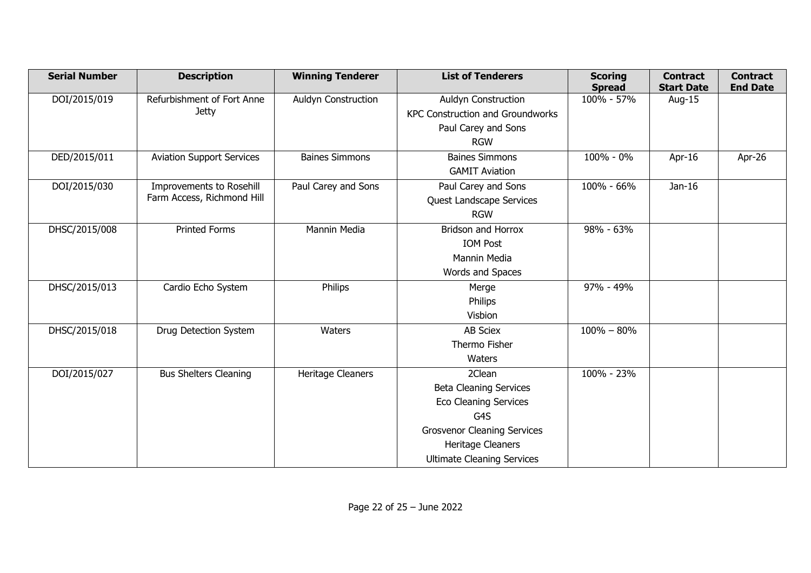| <b>Serial Number</b> | <b>Description</b>               | <b>Winning Tenderer</b>    | <b>List of Tenderers</b>                | <b>Scoring</b><br><b>Spread</b> | <b>Contract</b><br><b>Start Date</b> | <b>Contract</b><br><b>End Date</b> |
|----------------------|----------------------------------|----------------------------|-----------------------------------------|---------------------------------|--------------------------------------|------------------------------------|
| DOI/2015/019         | Refurbishment of Fort Anne       | <b>Auldyn Construction</b> | Auldyn Construction                     | 100% - 57%                      | Aug-15                               |                                    |
|                      | <b>Jetty</b>                     |                            | <b>KPC Construction and Groundworks</b> |                                 |                                      |                                    |
|                      |                                  |                            | Paul Carey and Sons                     |                                 |                                      |                                    |
|                      |                                  |                            | <b>RGW</b>                              |                                 |                                      |                                    |
| DED/2015/011         | <b>Aviation Support Services</b> | <b>Baines Simmons</b>      | <b>Baines Simmons</b>                   | 100% - 0%                       | Apr-16                               | Apr-26                             |
|                      |                                  |                            | <b>GAMIT Aviation</b>                   |                                 |                                      |                                    |
| DOI/2015/030         | Improvements to Rosehill         | Paul Carey and Sons        | Paul Carey and Sons                     | 100% - 66%                      | Jan-16                               |                                    |
|                      | Farm Access, Richmond Hill       |                            | Quest Landscape Services                |                                 |                                      |                                    |
|                      |                                  |                            | <b>RGW</b>                              |                                 |                                      |                                    |
| DHSC/2015/008        | <b>Printed Forms</b>             | Mannin Media               | <b>Bridson and Horrox</b>               | 98% - 63%                       |                                      |                                    |
|                      |                                  |                            | <b>IOM Post</b>                         |                                 |                                      |                                    |
|                      |                                  |                            | Mannin Media                            |                                 |                                      |                                    |
|                      |                                  |                            | Words and Spaces                        |                                 |                                      |                                    |
| DHSC/2015/013        | Cardio Echo System               | Philips                    | Merge                                   | 97% - 49%                       |                                      |                                    |
|                      |                                  |                            | Philips                                 |                                 |                                      |                                    |
|                      |                                  |                            | Visbion                                 |                                 |                                      |                                    |
| DHSC/2015/018        | Drug Detection System            | Waters                     | <b>AB Sciex</b>                         | $100\% - 80\%$                  |                                      |                                    |
|                      |                                  |                            | Thermo Fisher                           |                                 |                                      |                                    |
|                      |                                  |                            | Waters                                  |                                 |                                      |                                    |
| DOI/2015/027         | <b>Bus Shelters Cleaning</b>     | Heritage Cleaners          | 2Clean                                  | 100% - 23%                      |                                      |                                    |
|                      |                                  |                            | <b>Beta Cleaning Services</b>           |                                 |                                      |                                    |
|                      |                                  |                            | <b>Eco Cleaning Services</b>            |                                 |                                      |                                    |
|                      |                                  |                            | G4S                                     |                                 |                                      |                                    |
|                      |                                  |                            | <b>Grosvenor Cleaning Services</b>      |                                 |                                      |                                    |
|                      |                                  |                            | Heritage Cleaners                       |                                 |                                      |                                    |
|                      |                                  |                            | <b>Ultimate Cleaning Services</b>       |                                 |                                      |                                    |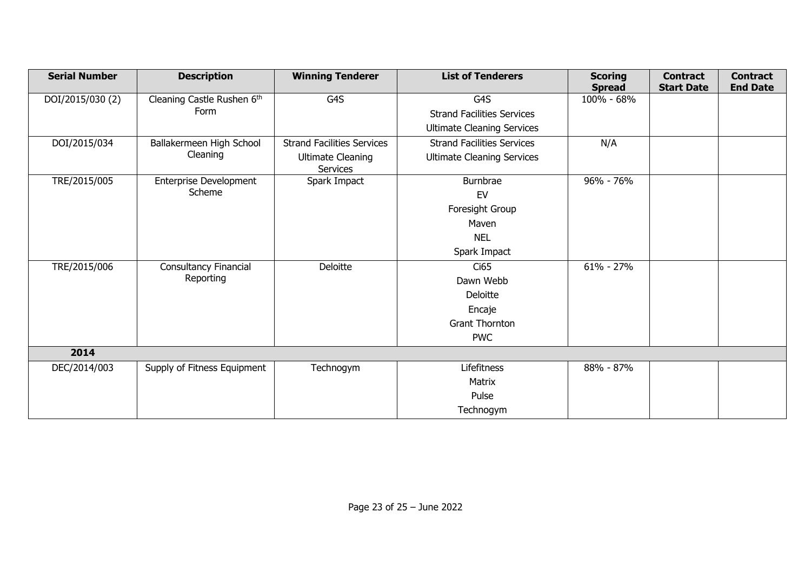| <b>Serial Number</b> | <b>Description</b>            | <b>Winning Tenderer</b>              | <b>List of Tenderers</b>          | <b>Scoring</b><br><b>Spread</b> | <b>Contract</b><br><b>Start Date</b> | <b>Contract</b><br><b>End Date</b> |
|----------------------|-------------------------------|--------------------------------------|-----------------------------------|---------------------------------|--------------------------------------|------------------------------------|
| DOI/2015/030 (2)     | Cleaning Castle Rushen 6th    | G4S                                  | G4S                               | 100% - 68%                      |                                      |                                    |
|                      | Form                          |                                      | <b>Strand Facilities Services</b> |                                 |                                      |                                    |
|                      |                               |                                      | <b>Ultimate Cleaning Services</b> |                                 |                                      |                                    |
| DOI/2015/034         | Ballakermeen High School      | <b>Strand Facilities Services</b>    | <b>Strand Facilities Services</b> | N/A                             |                                      |                                    |
|                      | Cleaning                      | <b>Ultimate Cleaning</b><br>Services | <b>Ultimate Cleaning Services</b> |                                 |                                      |                                    |
| TRE/2015/005         | <b>Enterprise Development</b> | Spark Impact                         | Burnbrae                          | 96% - 76%                       |                                      |                                    |
|                      | Scheme                        |                                      | EV                                |                                 |                                      |                                    |
|                      |                               |                                      | Foresight Group                   |                                 |                                      |                                    |
|                      |                               |                                      | Maven                             |                                 |                                      |                                    |
|                      |                               |                                      | <b>NEL</b>                        |                                 |                                      |                                    |
|                      |                               |                                      | Spark Impact                      |                                 |                                      |                                    |
| TRE/2015/006         | Consultancy Financial         | Deloitte                             | Ci65                              | $61\% - 27\%$                   |                                      |                                    |
|                      | Reporting                     |                                      | Dawn Webb                         |                                 |                                      |                                    |
|                      |                               |                                      | Deloitte                          |                                 |                                      |                                    |
|                      |                               |                                      | Encaje                            |                                 |                                      |                                    |
|                      |                               |                                      | <b>Grant Thornton</b>             |                                 |                                      |                                    |
|                      |                               |                                      | <b>PWC</b>                        |                                 |                                      |                                    |
| 2014                 |                               |                                      |                                   |                                 |                                      |                                    |
| DEC/2014/003         | Supply of Fitness Equipment   | Technogym                            | Lifefitness                       | 88% - 87%                       |                                      |                                    |
|                      |                               |                                      | Matrix                            |                                 |                                      |                                    |
|                      |                               |                                      | Pulse                             |                                 |                                      |                                    |
|                      |                               |                                      | Technogym                         |                                 |                                      |                                    |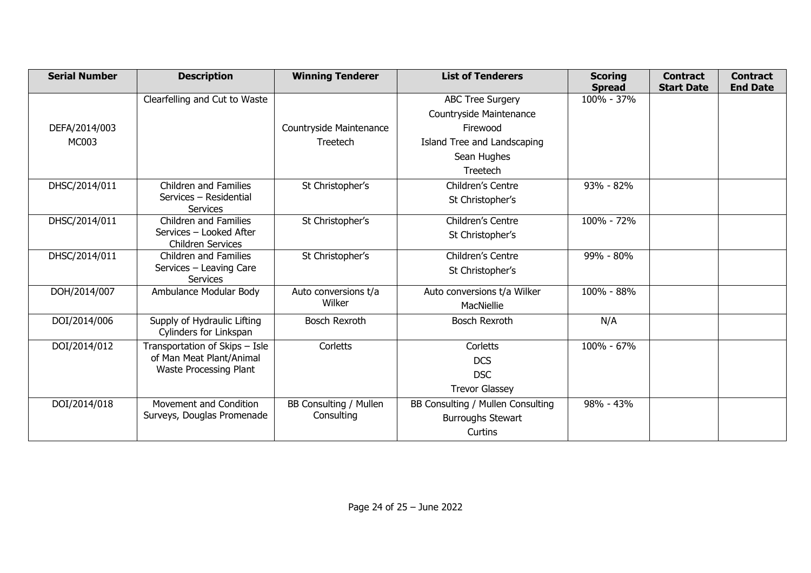| <b>Serial Number</b> | <b>Description</b>                                    | <b>Winning Tenderer</b> | <b>List of Tenderers</b>          | <b>Scoring</b><br><b>Spread</b> | <b>Contract</b><br><b>Start Date</b> | <b>Contract</b><br><b>End Date</b> |
|----------------------|-------------------------------------------------------|-------------------------|-----------------------------------|---------------------------------|--------------------------------------|------------------------------------|
|                      | Clearfelling and Cut to Waste                         |                         | <b>ABC Tree Surgery</b>           | 100% - 37%                      |                                      |                                    |
|                      |                                                       |                         | Countryside Maintenance           |                                 |                                      |                                    |
| DEFA/2014/003        |                                                       | Countryside Maintenance | Firewood                          |                                 |                                      |                                    |
| MC003                |                                                       | Treetech                | Island Tree and Landscaping       |                                 |                                      |                                    |
|                      |                                                       |                         | Sean Hughes                       |                                 |                                      |                                    |
|                      |                                                       |                         | Treetech                          |                                 |                                      |                                    |
| DHSC/2014/011        | <b>Children and Families</b>                          | St Christopher's        | Children's Centre                 | 93% - 82%                       |                                      |                                    |
|                      | Services - Residential<br><b>Services</b>             |                         | St Christopher's                  |                                 |                                      |                                    |
| DHSC/2014/011        | <b>Children and Families</b>                          | St Christopher's        | Children's Centre                 | 100% - 72%                      |                                      |                                    |
|                      | Services - Looked After<br><b>Children Services</b>   |                         | St Christopher's                  |                                 |                                      |                                    |
| DHSC/2014/011        | <b>Children and Families</b>                          | St Christopher's        | Children's Centre                 | 99% - 80%                       |                                      |                                    |
|                      | Services - Leaving Care<br><b>Services</b>            |                         | St Christopher's                  |                                 |                                      |                                    |
| DOH/2014/007         | Ambulance Modular Body                                | Auto conversions t/a    | Auto conversions t/a Wilker       | 100% - 88%                      |                                      |                                    |
|                      |                                                       | Wilker                  | MacNiellie                        |                                 |                                      |                                    |
| DOI/2014/006         | Supply of Hydraulic Lifting<br>Cylinders for Linkspan | <b>Bosch Rexroth</b>    | <b>Bosch Rexroth</b>              | N/A                             |                                      |                                    |
| DOI/2014/012         | Transportation of Skips - Isle                        | Corletts                | Corletts                          | 100% - 67%                      |                                      |                                    |
|                      | of Man Meat Plant/Animal                              |                         | <b>DCS</b>                        |                                 |                                      |                                    |
|                      | Waste Processing Plant                                |                         | <b>DSC</b>                        |                                 |                                      |                                    |
|                      |                                                       |                         | <b>Trevor Glassey</b>             |                                 |                                      |                                    |
| DOI/2014/018         | Movement and Condition                                | BB Consulting / Mullen  | BB Consulting / Mullen Consulting | 98% - 43%                       |                                      |                                    |
|                      | Surveys, Douglas Promenade                            | Consulting              | <b>Burroughs Stewart</b>          |                                 |                                      |                                    |
|                      |                                                       |                         | Curtins                           |                                 |                                      |                                    |